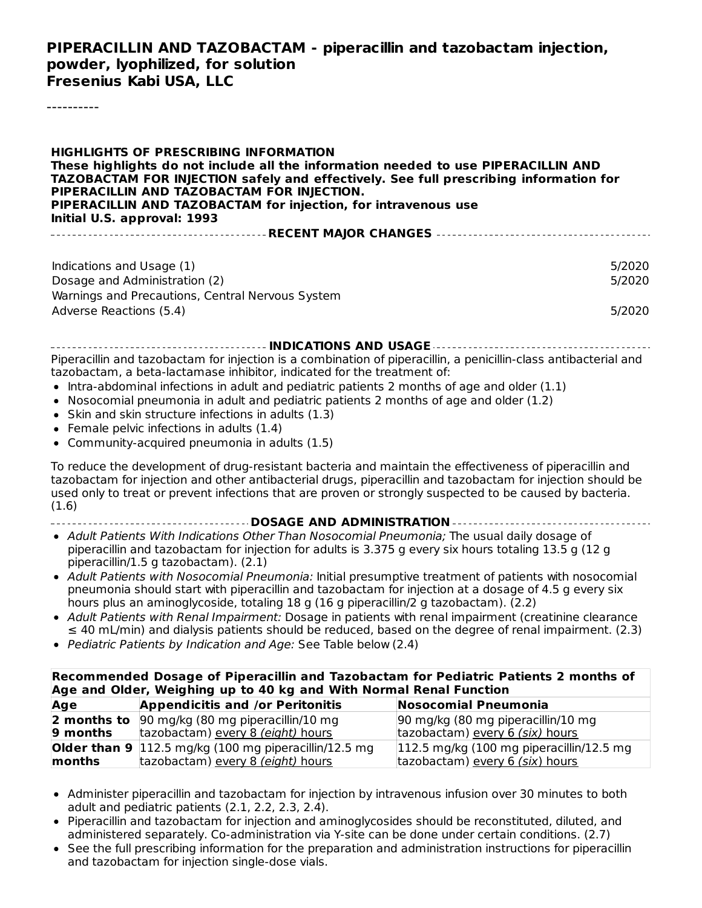#### **PIPERACILLIN AND TAZOBACTAM - piperacillin and tazobactam injection, powder, lyophilized, for solution Fresenius Kabi USA, LLC**

----------

**HIGHLIGHTS OF PRESCRIBING INFORMATION These highlights do not include all the information needed to use PIPERACILLIN AND TAZOBACTAM FOR INJECTION safely and effectively. See full prescribing information for PIPERACILLIN AND TAZOBACTAM FOR INJECTION. PIPERACILLIN AND TAZOBACTAM for injection, for intravenous use Initial U.S. approval: 1993 RECENT MAJOR CHANGES** Indications and Usage (1) 5/2020 Dosage and Administration (2) 5/2020 Warnings and Precautions, Central Nervous System Adverse Reactions (5.4) 5/2020

**INDICATIONS AND USAGE**

Piperacillin and tazobactam for injection is a combination of piperacillin, a penicillin-class antibacterial and tazobactam, a beta-lactamase inhibitor, indicated for the treatment of:

- $\bullet$  Intra-abdominal infections in adult and pediatric patients 2 months of age and older (1.1)
- Nosocomial pneumonia in adult and pediatric patients 2 months of age and older  $(1.2)$
- Skin and skin structure infections in adults (1.3)
- Female pelvic infections in adults (1.4)
- Community-acquired pneumonia in adults (1.5)

To reduce the development of drug-resistant bacteria and maintain the effectiveness of piperacillin and tazobactam for injection and other antibacterial drugs, piperacillin and tazobactam for injection should be used only to treat or prevent infections that are proven or strongly suspected to be caused by bacteria. (1.6)

- **DOSAGE AND ADMINISTRATION**
- Adult Patients With Indications Other Than Nosocomial Pneumonia; The usual daily dosage of piperacillin and tazobactam for injection for adults is 3.375 g every six hours totaling 13.5 g (12 g piperacillin/1.5 g tazobactam). (2.1)
- Adult Patients with Nosocomial Pneumonia: Initial presumptive treatment of patients with nosocomial pneumonia should start with piperacillin and tazobactam for injection at a dosage of 4.5 g every six hours plus an aminoglycoside, totaling 18 g (16 g piperacillin/2 g tazobactam). (2.2)
- Adult Patients with Renal Impairment: Dosage in patients with renal impairment (creatinine clearance  $\leq$  40 mL/min) and dialysis patients should be reduced, based on the degree of renal impairment. (2.3)
- Pediatric Patients by Indication and Age: See Table below (2.4)

| Recommended Dosage of Piperacillin and Tazobactam for Pediatric Patients 2 months of<br>Age and Older, Weighing up to 40 kg and With Normal Renal Function |                                                                         |                                                     |  |  |  |
|------------------------------------------------------------------------------------------------------------------------------------------------------------|-------------------------------------------------------------------------|-----------------------------------------------------|--|--|--|
| Age                                                                                                                                                        | <b>Appendicitis and /or Peritonitis</b>                                 | Nosocomial Pneumonia                                |  |  |  |
|                                                                                                                                                            | <b>2 months to</b> 90 mg/kg (80 mg piperacillin/10 mg                   | 90 mg/kg (80 mg piperacillin/10 mg                  |  |  |  |
| $9$ months                                                                                                                                                 | tazobactam) every 8 (eight) hours                                       | tazobactam) every 6 (six) hours                     |  |  |  |
|                                                                                                                                                            | <b>Older than 9</b> $ 112.5 \text{ mg/kg}$ (100 mg piperacillin/12.5 mg | $ 112.5 \text{ mg/kg}$ (100 mg piperacillin/12.5 mg |  |  |  |
| months                                                                                                                                                     | tazobactam) every 8 (eight) hours                                       | tazobactam) every 6 (six) hours                     |  |  |  |

- Administer piperacillin and tazobactam for injection by intravenous infusion over 30 minutes to both adult and pediatric patients (2.1, 2.2, 2.3, 2.4).
- Piperacillin and tazobactam for injection and aminoglycosides should be reconstituted, diluted, and administered separately. Co-administration via Y-site can be done under certain conditions. (2.7)
- See the full prescribing information for the preparation and administration instructions for piperacillin and tazobactam for injection single-dose vials.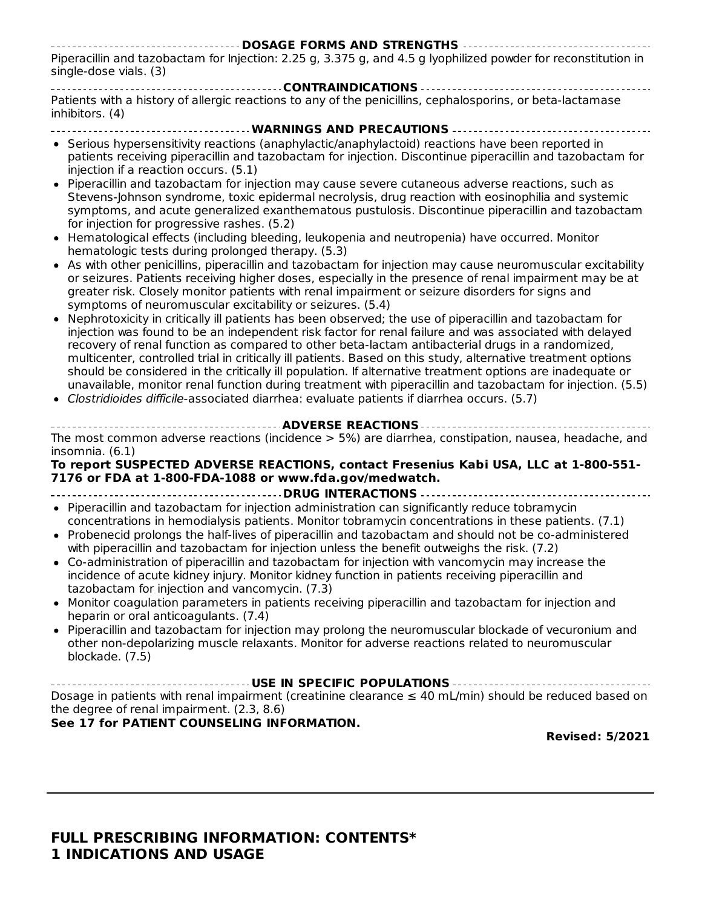**DOSAGE FORMS AND STRENGTHS** Piperacillin and tazobactam for Injection: 2.25 g, 3.375 g, and 4.5 g lyophilized powder for reconstitution in single-dose vials. (3)

**CONTRAINDICATIONS** Patients with a history of allergic reactions to any of the penicillins, cephalosporins, or beta-lactamase inhibitors. (4)

- **WARNINGS AND PRECAUTIONS** • Serious hypersensitivity reactions (anaphylactic/anaphylactoid) reactions have been reported in patients receiving piperacillin and tazobactam for injection. Discontinue piperacillin and tazobactam for injection if a reaction occurs. (5.1)
- Piperacillin and tazobactam for injection may cause severe cutaneous adverse reactions, such as Stevens-Johnson syndrome, toxic epidermal necrolysis, drug reaction with eosinophilia and systemic symptoms, and acute generalized exanthematous pustulosis. Discontinue piperacillin and tazobactam for injection for progressive rashes. (5.2)
- Hematological effects (including bleeding, leukopenia and neutropenia) have occurred. Monitor hematologic tests during prolonged therapy. (5.3)
- As with other penicillins, piperacillin and tazobactam for injection may cause neuromuscular excitability or seizures. Patients receiving higher doses, especially in the presence of renal impairment may be at greater risk. Closely monitor patients with renal impairment or seizure disorders for signs and symptoms of neuromuscular excitability or seizures. (5.4)
- Nephrotoxicity in critically ill patients has been observed; the use of piperacillin and tazobactam for injection was found to be an independent risk factor for renal failure and was associated with delayed recovery of renal function as compared to other beta-lactam antibacterial drugs in a randomized, multicenter, controlled trial in critically ill patients. Based on this study, alternative treatment options should be considered in the critically ill population. If alternative treatment options are inadequate or unavailable, monitor renal function during treatment with piperacillin and tazobactam for injection. (5.5)
- Clostridioides difficile-associated diarrhea: evaluate patients if diarrhea occurs. (5.7)
- **ADVERSE REACTIONS** The most common adverse reactions (incidence > 5%) are diarrhea, constipation, nausea, headache, and insomnia. (6.1)

#### **To report SUSPECTED ADVERSE REACTIONS, contact Fresenius Kabi USA, LLC at 1-800-551- 7176 or FDA at 1-800-FDA-1088 or www.fda.gov/medwatch.**

**DRUG INTERACTIONS**

- Piperacillin and tazobactam for injection administration can significantly reduce tobramycin concentrations in hemodialysis patients. Monitor tobramycin concentrations in these patients. (7.1)
- Probenecid prolongs the half-lives of piperacillin and tazobactam and should not be co-administered with piperacillin and tazobactam for injection unless the benefit outweighs the risk. (7.2)
- Co-administration of piperacillin and tazobactam for injection with vancomycin may increase the incidence of acute kidney injury. Monitor kidney function in patients receiving piperacillin and tazobactam for injection and vancomycin. (7.3)
- Monitor coagulation parameters in patients receiving piperacillin and tazobactam for injection and  $\bullet$ heparin or oral anticoagulants. (7.4)
- Piperacillin and tazobactam for injection may prolong the neuromuscular blockade of vecuronium and other non-depolarizing muscle relaxants. Monitor for adverse reactions related to neuromuscular blockade. (7.5)

**USE IN SPECIFIC POPULATIONS** Dosage in patients with renal impairment (creatinine clearance  $\leq 40$  mL/min) should be reduced based on the degree of renal impairment. (2.3, 8.6)

#### **See 17 for PATIENT COUNSELING INFORMATION.**

**Revised: 5/2021**

#### **FULL PRESCRIBING INFORMATION: CONTENTS\* 1 INDICATIONS AND USAGE**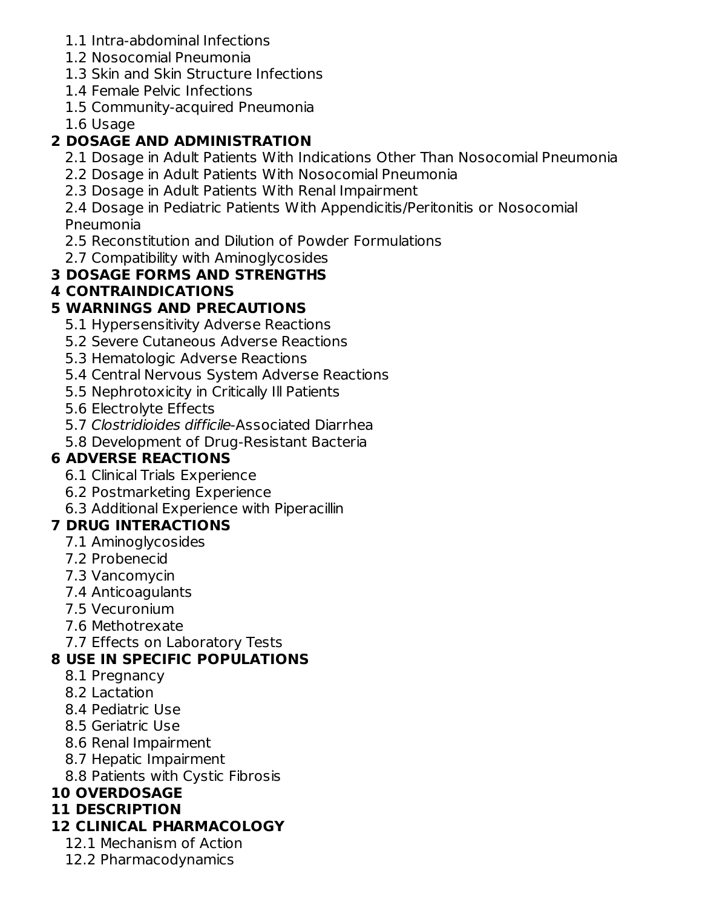- 1.1 Intra-abdominal Infections
- 1.2 Nosocomial Pneumonia
- 1.3 Skin and Skin Structure Infections
- 1.4 Female Pelvic Infections
- 1.5 Community-acquired Pneumonia
- 1.6 Usage

## **2 DOSAGE AND ADMINISTRATION**

- 2.1 Dosage in Adult Patients With Indications Other Than Nosocomial Pneumonia
- 2.2 Dosage in Adult Patients With Nosocomial Pneumonia
- 2.3 Dosage in Adult Patients With Renal Impairment

2.4 Dosage in Pediatric Patients With Appendicitis/Peritonitis or Nosocomial Pneumonia

- 2.5 Reconstitution and Dilution of Powder Formulations
- 2.7 Compatibility with Aminoglycosides

## **3 DOSAGE FORMS AND STRENGTHS**

## **4 CONTRAINDICATIONS**

## **5 WARNINGS AND PRECAUTIONS**

- 5.1 Hypersensitivity Adverse Reactions
- 5.2 Severe Cutaneous Adverse Reactions
- 5.3 Hematologic Adverse Reactions
- 5.4 Central Nervous System Adverse Reactions
- 5.5 Nephrotoxicity in Critically Ill Patients
- 5.6 Electrolyte Effects
- 5.7 Clostridioides difficile-Associated Diarrhea
- 5.8 Development of Drug-Resistant Bacteria

## **6 ADVERSE REACTIONS**

- 6.1 Clinical Trials Experience
- 6.2 Postmarketing Experience
- 6.3 Additional Experience with Piperacillin

## **7 DRUG INTERACTIONS**

- 7.1 Aminoglycosides
- 7.2 Probenecid
- 7.3 Vancomycin
- 7.4 Anticoagulants
- 7.5 Vecuronium
- 7.6 Methotrexate
- 7.7 Effects on Laboratory Tests

## **8 USE IN SPECIFIC POPULATIONS**

- 8.1 Pregnancy
- 8.2 Lactation
- 8.4 Pediatric Use
- 8.5 Geriatric Use
- 8.6 Renal Impairment
- 8.7 Hepatic Impairment
- 8.8 Patients with Cystic Fibrosis

## **10 OVERDOSAGE**

## **11 DESCRIPTION**

## **12 CLINICAL PHARMACOLOGY**

- 12.1 Mechanism of Action
- 12.2 Pharmacodynamics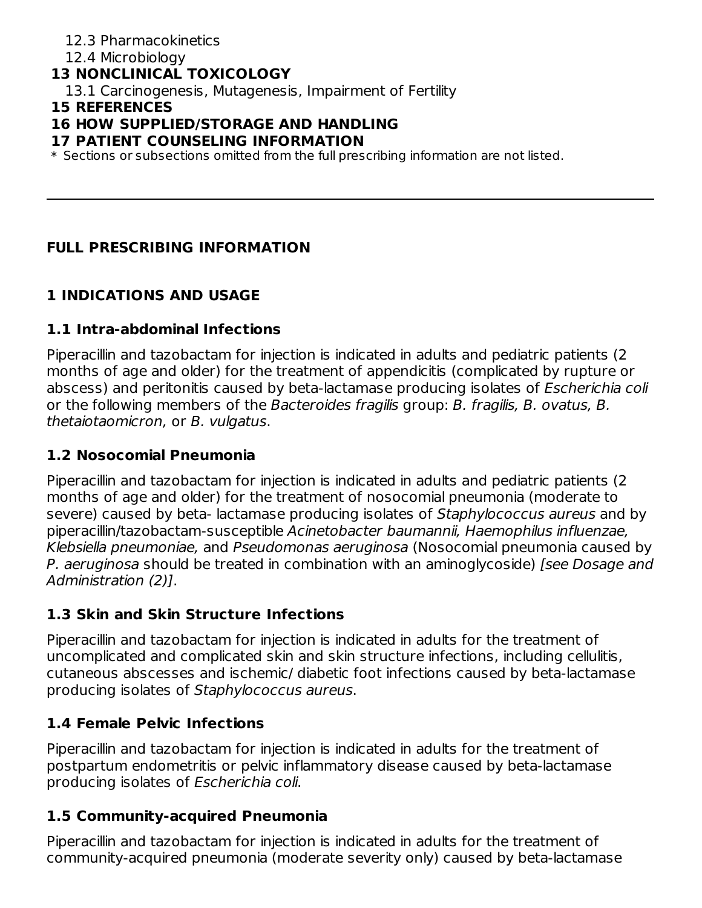#### 12.3 Pharmacokinetics

#### 12.4 Microbiology

#### **13 NONCLINICAL TOXICOLOGY**

13.1 Carcinogenesis, Mutagenesis, Impairment of Fertility

#### **15 REFERENCES**

#### **16 HOW SUPPLIED/STORAGE AND HANDLING**

#### **17 PATIENT COUNSELING INFORMATION**

 $\ast$  Sections or subsections omitted from the full prescribing information are not listed.

#### **FULL PRESCRIBING INFORMATION**

#### **1 INDICATIONS AND USAGE**

#### **1.1 Intra-abdominal Infections**

Piperacillin and tazobactam for injection is indicated in adults and pediatric patients (2 months of age and older) for the treatment of appendicitis (complicated by rupture or abscess) and peritonitis caused by beta-lactamase producing isolates of Escherichia coli or the following members of the Bacteroides fragilis group: B. fragilis, B. ovatus, B. thetaiotaomicron, or B. vulgatus.

#### **1.2 Nosocomial Pneumonia**

Piperacillin and tazobactam for injection is indicated in adults and pediatric patients (2 months of age and older) for the treatment of nosocomial pneumonia (moderate to severe) caused by beta- lactamase producing isolates of Staphylococcus aureus and by piperacillin/tazobactam-susceptible Acinetobacter baumannii, Haemophilus influenzae, Klebsiella pneumoniae, and Pseudomonas aeruginosa (Nosocomial pneumonia caused by P. aeruginosa should be treated in combination with an aminoglycoside) [see Dosage and Administration (2)].

#### **1.3 Skin and Skin Structure Infections**

Piperacillin and tazobactam for injection is indicated in adults for the treatment of uncomplicated and complicated skin and skin structure infections, including cellulitis, cutaneous abscesses and ischemic/ diabetic foot infections caused by beta-lactamase producing isolates of Staphylococcus aureus.

#### **1.4 Female Pelvic Infections**

Piperacillin and tazobactam for injection is indicated in adults for the treatment of postpartum endometritis or pelvic inflammatory disease caused by beta-lactamase producing isolates of Escherichia coli.

#### **1.5 Community-acquired Pneumonia**

Piperacillin and tazobactam for injection is indicated in adults for the treatment of community-acquired pneumonia (moderate severity only) caused by beta-lactamase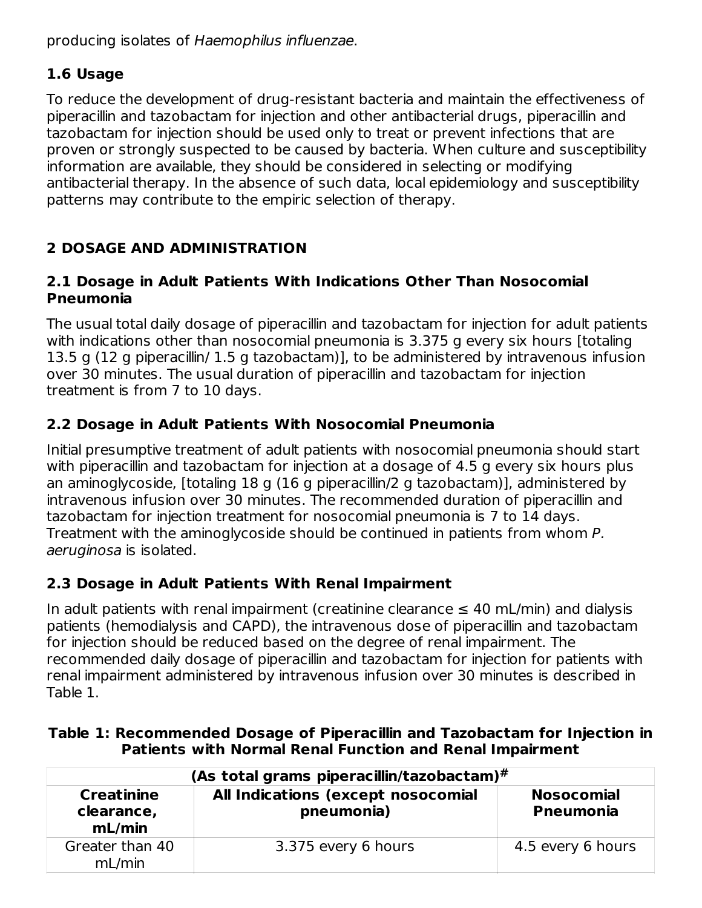producing isolates of Haemophilus influenzae.

## **1.6 Usage**

To reduce the development of drug-resistant bacteria and maintain the effectiveness of piperacillin and tazobactam for injection and other antibacterial drugs, piperacillin and tazobactam for injection should be used only to treat or prevent infections that are proven or strongly suspected to be caused by bacteria. When culture and susceptibility information are available, they should be considered in selecting or modifying antibacterial therapy. In the absence of such data, local epidemiology and susceptibility patterns may contribute to the empiric selection of therapy.

## **2 DOSAGE AND ADMINISTRATION**

#### **2.1 Dosage in Adult Patients With Indications Other Than Nosocomial Pneumonia**

The usual total daily dosage of piperacillin and tazobactam for injection for adult patients with indications other than nosocomial pneumonia is 3.375 g every six hours [totaling 13.5 g (12 g piperacillin/ 1.5 g tazobactam)], to be administered by intravenous infusion over 30 minutes. The usual duration of piperacillin and tazobactam for injection treatment is from 7 to 10 days.

## **2.2 Dosage in Adult Patients With Nosocomial Pneumonia**

Initial presumptive treatment of adult patients with nosocomial pneumonia should start with piperacillin and tazobactam for injection at a dosage of 4.5 g every six hours plus an aminoglycoside, [totaling 18 g (16 g piperacillin/2 g tazobactam)], administered by intravenous infusion over 30 minutes. The recommended duration of piperacillin and tazobactam for injection treatment for nosocomial pneumonia is 7 to 14 days. Treatment with the aminoglycoside should be continued in patients from whom P. aeruginosa is isolated.

## **2.3 Dosage in Adult Patients With Renal Impairment**

In adult patients with renal impairment (creatinine clearance  $\leq 40$  mL/min) and dialysis patients (hemodialysis and CAPD), the intravenous dose of piperacillin and tazobactam for injection should be reduced based on the degree of renal impairment. The recommended daily dosage of piperacillin and tazobactam for injection for patients with renal impairment administered by intravenous infusion over 30 minutes is described in Table 1.

#### **Table 1: Recommended Dosage of Piperacillin and Tazobactam for Injection in Patients with Normal Renal Function and Renal Impairment**

| (As total grams piperacillin/tazobactam)# |                                                  |                                       |  |  |  |
|-------------------------------------------|--------------------------------------------------|---------------------------------------|--|--|--|
| <b>Creatinine</b><br>clearance,<br>mL/min | All Indications (except nosocomial<br>pneumonia) | <b>Nosocomial</b><br><b>Pneumonia</b> |  |  |  |
| Greater than 40<br>mL/min                 | 3.375 every 6 hours                              | 4.5 every 6 hours                     |  |  |  |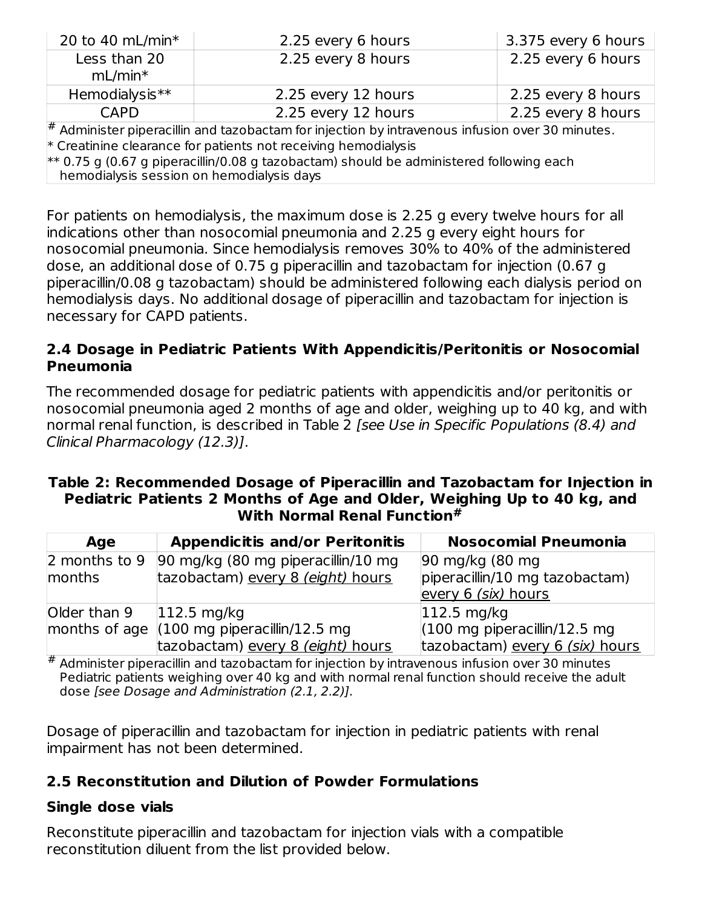| 20 to 40 mL/min $*$                                                                                                                    | 2.25 every 6 hours                                                                                     | 3.375 every 6 hours |  |  |  |
|----------------------------------------------------------------------------------------------------------------------------------------|--------------------------------------------------------------------------------------------------------|---------------------|--|--|--|
| Less than 20                                                                                                                           | 2.25 every 8 hours                                                                                     | 2.25 every 6 hours  |  |  |  |
| $mL/min*$                                                                                                                              |                                                                                                        |                     |  |  |  |
| Hemodialysis**                                                                                                                         | 2.25 every 12 hours                                                                                    | 2.25 every 8 hours  |  |  |  |
| <b>CAPD</b>                                                                                                                            | 2.25 every 12 hours                                                                                    | 2.25 every 8 hours  |  |  |  |
|                                                                                                                                        | $\sharp$ Administer piperacillin and tazobactam for injection by intravenous infusion over 30 minutes. |                     |  |  |  |
| $*$ Creatinine clearance for patients not receiving hemodialysis                                                                       |                                                                                                        |                     |  |  |  |
| $**$ 0.75 g (0.67 g piperacillin/0.08 g tazobactam) should be administered following each<br>hemodialysis session on hemodialysis days |                                                                                                        |                     |  |  |  |

For patients on hemodialysis, the maximum dose is 2.25 g every twelve hours for all indications other than nosocomial pneumonia and 2.25 g every eight hours for nosocomial pneumonia. Since hemodialysis removes 30% to 40% of the administered dose, an additional dose of 0.75 g piperacillin and tazobactam for injection (0.67 g piperacillin/0.08 g tazobactam) should be administered following each dialysis period on hemodialysis days. No additional dosage of piperacillin and tazobactam for injection is necessary for CAPD patients.

#### **2.4 Dosage in Pediatric Patients With Appendicitis/Peritonitis or Nosocomial Pneumonia**

The recommended dosage for pediatric patients with appendicitis and/or peritonitis or nosocomial pneumonia aged 2 months of age and older, weighing up to 40 kg, and with normal renal function, is described in Table 2 [see Use in Specific Populations (8.4) and Clinical Pharmacology (12.3)].

#### **Table 2: Recommended Dosage of Piperacillin and Tazobactam for Injection in Pediatric Patients 2 Months of Age and Older, Weighing Up to 40 kg, and With Normal Renal Function #**

| Age           | <b>Appendicitis and/or Peritonitis</b>                        | <b>Nosocomial Pneumonia</b>                     |
|---------------|---------------------------------------------------------------|-------------------------------------------------|
| 2 months to 9 | 90 mg/kg (80 mg piperacillin/10 mg                            | 90 mg/kg (80 mg)                                |
| months        | tazobactam) every 8 (eight) hours                             | piperacillin/10 mg tazobactam)                  |
|               |                                                               | every 6 (six) hours                             |
| Older than 9  | $112.5$ mg/kg                                                 | $ 112.5 \text{ mg/kg} $                         |
|               | months of age $(100 \text{ mg piperacillin}/12.5 \text{ mg})$ | $(100 \text{ mg piperacillin}/12.5 \text{ mg})$ |
|               | tazobactam) every 8 (eight) hours                             | tazobactam) every 6 (six) hours                 |

# Administer piperacillin and tazobactam for injection by intravenous infusion over 30 minutes Pediatric patients weighing over 40 kg and with normal renal function should receive the adult dose [see Dosage and Administration (2.1, 2.2)].

Dosage of piperacillin and tazobactam for injection in pediatric patients with renal impairment has not been determined.

#### **2.5 Reconstitution and Dilution of Powder Formulations**

#### **Single dose vials**

Reconstitute piperacillin and tazobactam for injection vials with a compatible reconstitution diluent from the list provided below.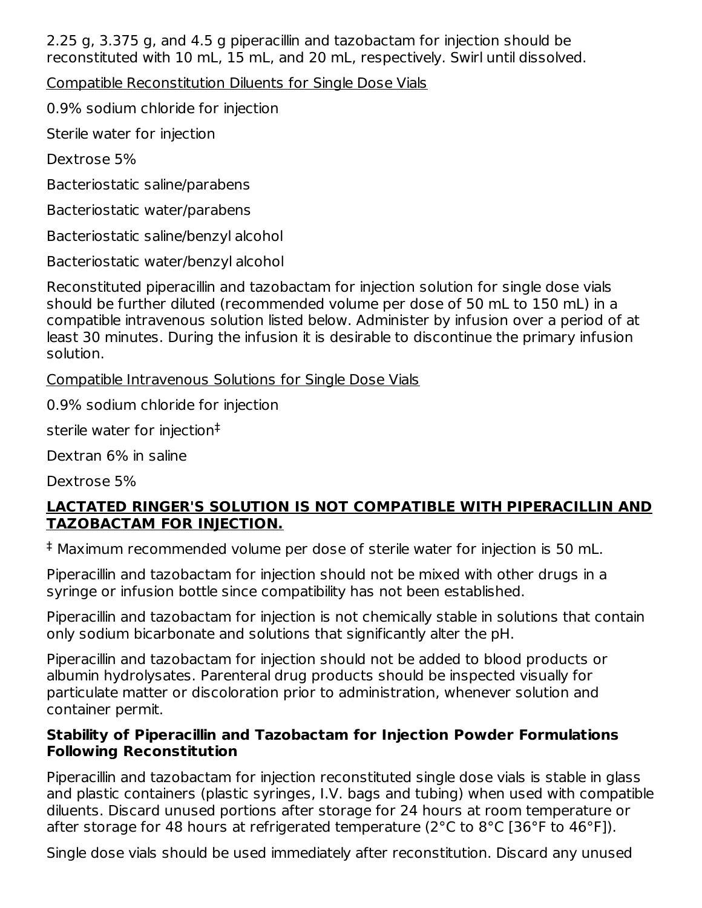2.25 g, 3.375 g, and 4.5 g piperacillin and tazobactam for injection should be reconstituted with 10 mL, 15 mL, and 20 mL, respectively. Swirl until dissolved.

Compatible Reconstitution Diluents for Single Dose Vials

0.9% sodium chloride for injection

Sterile water for injection

Dextrose 5%

Bacteriostatic saline/parabens

Bacteriostatic water/parabens

Bacteriostatic saline/benzyl alcohol

Bacteriostatic water/benzyl alcohol

Reconstituted piperacillin and tazobactam for injection solution for single dose vials should be further diluted (recommended volume per dose of 50 mL to 150 mL) in a compatible intravenous solution listed below. Administer by infusion over a period of at least 30 minutes. During the infusion it is desirable to discontinue the primary infusion solution.

Compatible Intravenous Solutions for Single Dose Vials

0.9% sodium chloride for injection

sterile water for injection ‡

Dextran 6% in saline

Dextrose 5%

#### **LACTATED RINGER'S SOLUTION IS NOT COMPATIBLE WITH PIPERACILLIN AND TAZOBACTAM FOR INJECTION.**

Maximum recommended volume per dose of sterile water for injection is 50 mL. ‡

Piperacillin and tazobactam for injection should not be mixed with other drugs in a syringe or infusion bottle since compatibility has not been established.

Piperacillin and tazobactam for injection is not chemically stable in solutions that contain only sodium bicarbonate and solutions that significantly alter the pH.

Piperacillin and tazobactam for injection should not be added to blood products or albumin hydrolysates. Parenteral drug products should be inspected visually for particulate matter or discoloration prior to administration, whenever solution and container permit.

#### **Stability of Piperacillin and Tazobactam for Injection Powder Formulations Following Reconstitution**

Piperacillin and tazobactam for injection reconstituted single dose vials is stable in glass and plastic containers (plastic syringes, I.V. bags and tubing) when used with compatible diluents. Discard unused portions after storage for 24 hours at room temperature or after storage for 48 hours at refrigerated temperature (2°C to 8°C [36°F to 46°F]).

Single dose vials should be used immediately after reconstitution. Discard any unused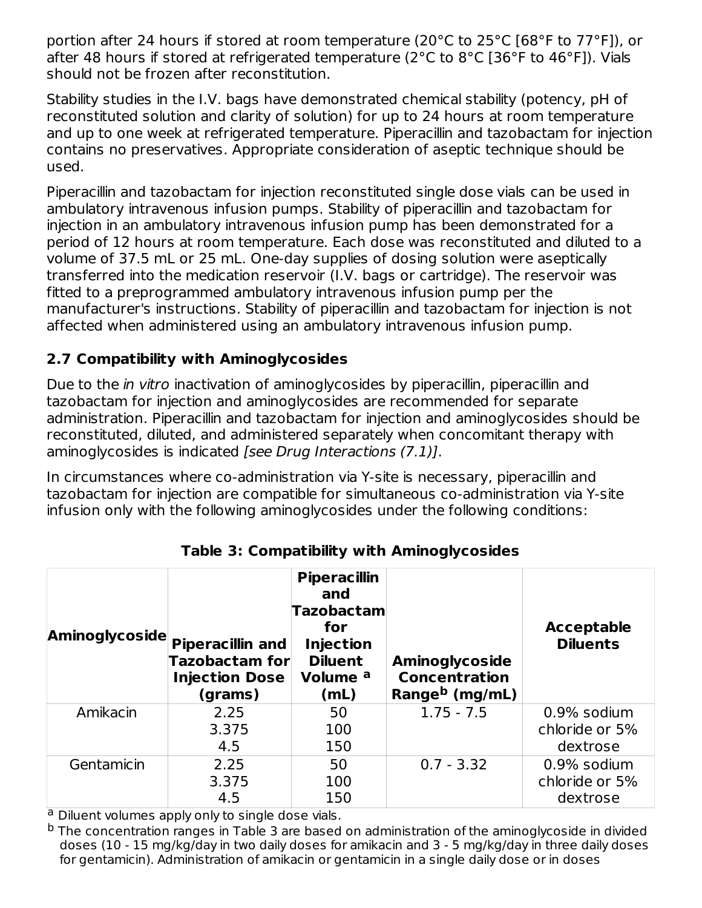portion after 24 hours if stored at room temperature (20°C to 25°C [68°F to 77°F]), or after 48 hours if stored at refrigerated temperature (2°C to 8°C [36°F to 46°F]). Vials should not be frozen after reconstitution.

Stability studies in the I.V. bags have demonstrated chemical stability (potency, pH of reconstituted solution and clarity of solution) for up to 24 hours at room temperature and up to one week at refrigerated temperature. Piperacillin and tazobactam for injection contains no preservatives. Appropriate consideration of aseptic technique should be used.

Piperacillin and tazobactam for injection reconstituted single dose vials can be used in ambulatory intravenous infusion pumps. Stability of piperacillin and tazobactam for injection in an ambulatory intravenous infusion pump has been demonstrated for a period of 12 hours at room temperature. Each dose was reconstituted and diluted to a volume of 37.5 mL or 25 mL. One-day supplies of dosing solution were aseptically transferred into the medication reservoir (I.V. bags or cartridge). The reservoir was fitted to a preprogrammed ambulatory intravenous infusion pump per the manufacturer's instructions. Stability of piperacillin and tazobactam for injection is not affected when administered using an ambulatory intravenous infusion pump.

## **2.7 Compatibility with Aminoglycosides**

Due to the *in vitro* inactivation of aminoglycosides by piperacillin, piperacillin and tazobactam for injection and aminoglycosides are recommended for separate administration. Piperacillin and tazobactam for injection and aminoglycosides should be reconstituted, diluted, and administered separately when concomitant therapy with aminoglycosides is indicated [see Drug Interactions (7.1)].

In circumstances where co-administration via Y-site is necessary, piperacillin and tazobactam for injection are compatible for simultaneous co-administration via Y-site infusion only with the following aminoglycosides under the following conditions:

| Aminoglycoside | <b>Piperacillin and</b><br>Tazobactam for<br><b>Injection Dose</b><br>(grams) | <b>Piperacillin</b><br>and<br>Tazobactam<br>for<br><b>Injection</b><br><b>Diluent</b><br>Volume <sup>a</sup><br>(mL) | <b>Aminoglycoside</b><br><b>Concentration</b><br>Range <sup>b</sup> (mg/mL) | <b>Acceptable</b><br><b>Diluents</b> |
|----------------|-------------------------------------------------------------------------------|----------------------------------------------------------------------------------------------------------------------|-----------------------------------------------------------------------------|--------------------------------------|
| Amikacin       | 2.25                                                                          | 50                                                                                                                   | $1.75 - 7.5$                                                                | 0.9% sodium                          |
|                | 3.375                                                                         | 100                                                                                                                  |                                                                             | chloride or 5%                       |
|                | 4.5                                                                           | 150                                                                                                                  |                                                                             | dextrose                             |
| Gentamicin     | 2.25                                                                          | 50                                                                                                                   | $0.7 - 3.32$                                                                | 0.9% sodium                          |
|                | 3.375                                                                         | 100                                                                                                                  |                                                                             | chloride or 5%                       |
|                | 4.5                                                                           | 150                                                                                                                  |                                                                             | dextrose                             |

**Table 3: Compatibility with Aminoglycosides**

<sup>a</sup> Diluent volumes apply only to single dose vials.

 $^{\rm b}$  The concentration ranges in Table 3 are based on administration of the aminoglycoside in divided doses (10 - 15 mg/kg/day in two daily doses for amikacin and 3 - 5 mg/kg/day in three daily doses for gentamicin). Administration of amikacin or gentamicin in a single daily dose or in doses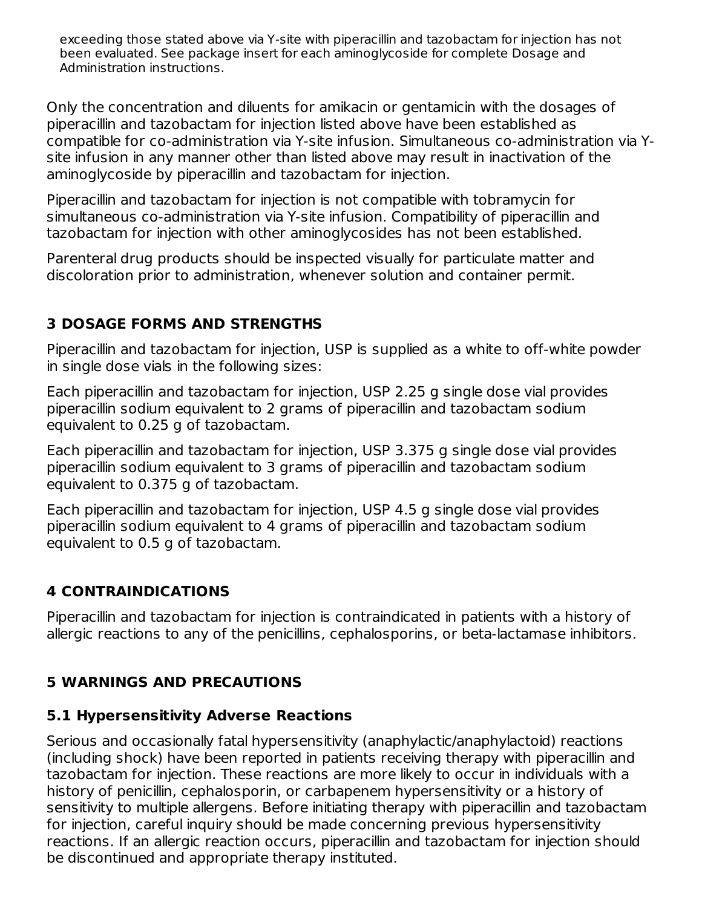exceeding those stated above via Y-site with piperacillin and tazobactam for injection has not been evaluated. See package insert for each aminoglycoside for complete Dosage and Administration instructions.

Only the concentration and diluents for amikacin or gentamicin with the dosages of piperacillin and tazobactam for injection listed above have been established as compatible for co-administration via Y-site infusion. Simultaneous co-administration via Ysite infusion in any manner other than listed above may result in inactivation of the aminoglycoside by piperacillin and tazobactam for injection.

Piperacillin and tazobactam for injection is not compatible with tobramycin for simultaneous co-administration via Y-site infusion. Compatibility of piperacillin and tazobactam for injection with other aminoglycosides has not been established.

Parenteral drug products should be inspected visually for particulate matter and discoloration prior to administration, whenever solution and container permit.

#### **3 DOSAGE FORMS AND STRENGTHS**

Piperacillin and tazobactam for injection, USP is supplied as a white to off-white powder in single dose vials in the following sizes:

Each piperacillin and tazobactam for injection, USP 2.25 g single dose vial provides piperacillin sodium equivalent to 2 grams of piperacillin and tazobactam sodium equivalent to 0.25 g of tazobactam.

Each piperacillin and tazobactam for injection, USP 3.375 g single dose vial provides piperacillin sodium equivalent to 3 grams of piperacillin and tazobactam sodium equivalent to 0.375 g of tazobactam.

Each piperacillin and tazobactam for injection, USP 4.5 g single dose vial provides piperacillin sodium equivalent to 4 grams of piperacillin and tazobactam sodium equivalent to 0.5 g of tazobactam.

#### **4 CONTRAINDICATIONS**

Piperacillin and tazobactam for injection is contraindicated in patients with a history of allergic reactions to any of the penicillins, cephalosporins, or beta-lactamase inhibitors.

#### **5 WARNINGS AND PRECAUTIONS**

#### **5.1 Hypersensitivity Adverse Reactions**

Serious and occasionally fatal hypersensitivity (anaphylactic/anaphylactoid) reactions (including shock) have been reported in patients receiving therapy with piperacillin and tazobactam for injection. These reactions are more likely to occur in individuals with a history of penicillin, cephalosporin, or carbapenem hypersensitivity or a history of sensitivity to multiple allergens. Before initiating therapy with piperacillin and tazobactam for injection, careful inquiry should be made concerning previous hypersensitivity reactions. If an allergic reaction occurs, piperacillin and tazobactam for injection should be discontinued and appropriate therapy instituted.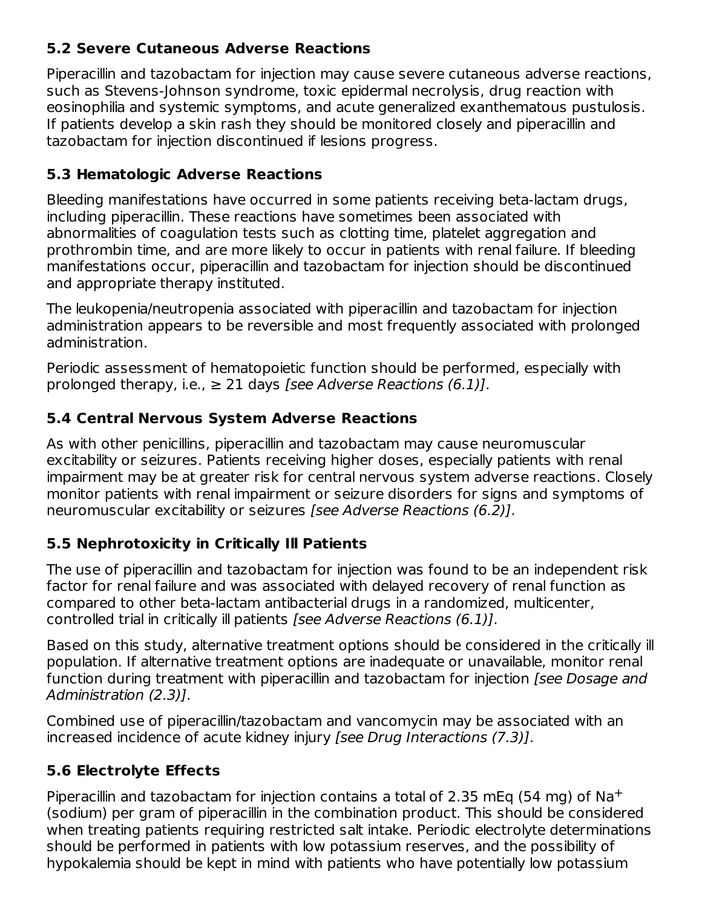#### **5.2 Severe Cutaneous Adverse Reactions**

Piperacillin and tazobactam for injection may cause severe cutaneous adverse reactions, such as Stevens-Johnson syndrome, toxic epidermal necrolysis, drug reaction with eosinophilia and systemic symptoms, and acute generalized exanthematous pustulosis. If patients develop a skin rash they should be monitored closely and piperacillin and tazobactam for injection discontinued if lesions progress.

#### **5.3 Hematologic Adverse Reactions**

Bleeding manifestations have occurred in some patients receiving beta-lactam drugs, including piperacillin. These reactions have sometimes been associated with abnormalities of coagulation tests such as clotting time, platelet aggregation and prothrombin time, and are more likely to occur in patients with renal failure. If bleeding manifestations occur, piperacillin and tazobactam for injection should be discontinued and appropriate therapy instituted.

The leukopenia/neutropenia associated with piperacillin and tazobactam for injection administration appears to be reversible and most frequently associated with prolonged administration.

Periodic assessment of hematopoietic function should be performed, especially with prolonged therapy, i.e.,  $\geq 21$  days *[see Adverse Reactions (6.1)]*.

#### **5.4 Central Nervous System Adverse Reactions**

As with other penicillins, piperacillin and tazobactam may cause neuromuscular excitability or seizures. Patients receiving higher doses, especially patients with renal impairment may be at greater risk for central nervous system adverse reactions. Closely monitor patients with renal impairment or seizure disorders for signs and symptoms of neuromuscular excitability or seizures [see Adverse Reactions (6.2)].

#### **5.5 Nephrotoxicity in Critically Ill Patients**

The use of piperacillin and tazobactam for injection was found to be an independent risk factor for renal failure and was associated with delayed recovery of renal function as compared to other beta-lactam antibacterial drugs in a randomized, multicenter, controlled trial in critically ill patients [see Adverse Reactions (6.1)].

Based on this study, alternative treatment options should be considered in the critically ill population. If alternative treatment options are inadequate or unavailable, monitor renal function during treatment with piperacillin and tazobactam for injection *[see Dosage and* Administration (2.3)].

Combined use of piperacillin/tazobactam and vancomycin may be associated with an increased incidence of acute kidney injury [see Drug Interactions (7.3)].

## **5.6 Electrolyte Effects**

Piperacillin and tazobactam for injection contains a total of 2.35 mEq (54 mg) of  $\text{Na}^+$ (sodium) per gram of piperacillin in the combination product. This should be considered when treating patients requiring restricted salt intake. Periodic electrolyte determinations should be performed in patients with low potassium reserves, and the possibility of hypokalemia should be kept in mind with patients who have potentially low potassium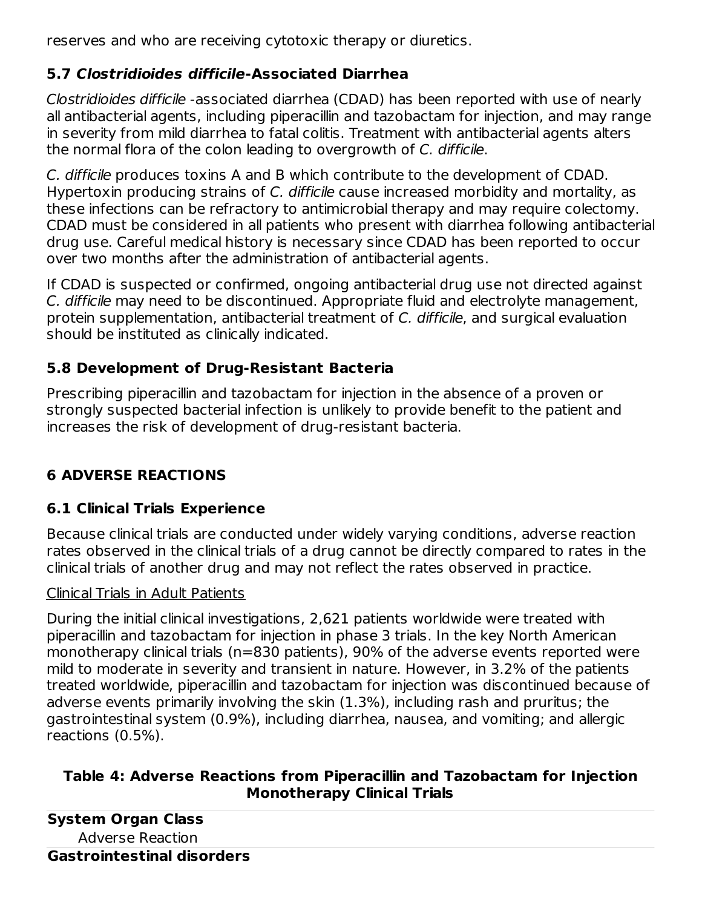reserves and who are receiving cytotoxic therapy or diuretics.

## **5.7 Clostridioides difficile-Associated Diarrhea**

Clostridioides difficile -associated diarrhea (CDAD) has been reported with use of nearly all antibacterial agents, including piperacillin and tazobactam for injection, and may range in severity from mild diarrhea to fatal colitis. Treatment with antibacterial agents alters the normal flora of the colon leading to overgrowth of C. difficile.

C. difficile produces toxins A and B which contribute to the development of CDAD. Hypertoxin producing strains of C. difficile cause increased morbidity and mortality, as these infections can be refractory to antimicrobial therapy and may require colectomy. CDAD must be considered in all patients who present with diarrhea following antibacterial drug use. Careful medical history is necessary since CDAD has been reported to occur over two months after the administration of antibacterial agents.

If CDAD is suspected or confirmed, ongoing antibacterial drug use not directed against C. difficile may need to be discontinued. Appropriate fluid and electrolyte management, protein supplementation, antibacterial treatment of C. difficile, and surgical evaluation should be instituted as clinically indicated.

## **5.8 Development of Drug-Resistant Bacteria**

Prescribing piperacillin and tazobactam for injection in the absence of a proven or strongly suspected bacterial infection is unlikely to provide benefit to the patient and increases the risk of development of drug-resistant bacteria.

## **6 ADVERSE REACTIONS**

## **6.1 Clinical Trials Experience**

Because clinical trials are conducted under widely varying conditions, adverse reaction rates observed in the clinical trials of a drug cannot be directly compared to rates in the clinical trials of another drug and may not reflect the rates observed in practice.

## Clinical Trials in Adult Patients

During the initial clinical investigations, 2,621 patients worldwide were treated with piperacillin and tazobactam for injection in phase 3 trials. In the key North American monotherapy clinical trials (n=830 patients), 90% of the adverse events reported were mild to moderate in severity and transient in nature. However, in 3.2% of the patients treated worldwide, piperacillin and tazobactam for injection was discontinued because of adverse events primarily involving the skin (1.3%), including rash and pruritus; the gastrointestinal system (0.9%), including diarrhea, nausea, and vomiting; and allergic reactions (0.5%).

#### **Table 4: Adverse Reactions from Piperacillin and Tazobactam for Injection Monotherapy Clinical Trials**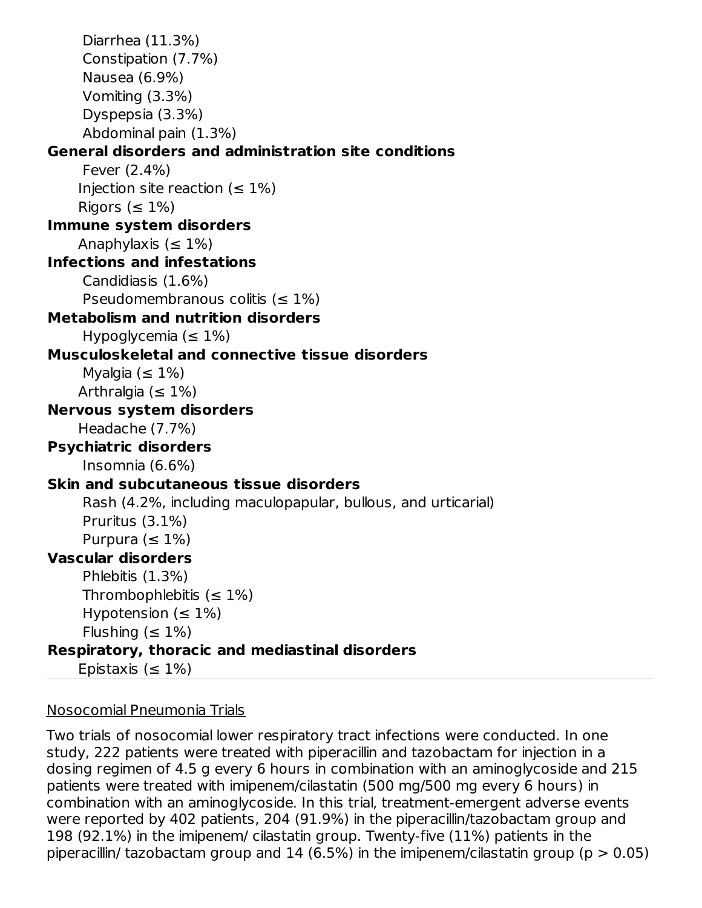```
Diarrhea (11.3%)
     Constipation (7.7%)
     Nausea (6.9%)
     Vomiting (3.3%)
     Dyspepsia (3.3%)
     Abdominal pain (1.3%)
General disorders and administration site conditions
     Fever (2.4%)
    Injection site reaction (\leq 1\%)
    Rigors (\leq 1\%)
Immune system disorders
    Anaphylaxis (\leq 1\%)
Infections and infestations
     Candidiasis (1.6%)
     Pseudomembranous colitis (s = 1\%)Metabolism and nutrition disorders
     Hypoglycemia (<math>\leq 1\%</math>)Musculoskeletal and connective tissue disorders
     Myalgia (<math>\leq 1\%</math>)Arthralgia (\leq 1\%)
Nervous system disorders
    Headache (7.7%)
Psychiatric disorders
     Insomnia (6.6%)
Skin and subcutaneous tissue disorders
     Rash (4.2%, including maculopapular, bullous, and urticarial)
     Pruritus (3.1%)
     Purpura (<math>\leq 1\%</math>)Vascular disorders
     Phlebitis (1.3%)
     Thrombophlebitis (\leq 1\%)
     Hypotension (\leq 1\%)
     Flushing (<math>\leq 1\%</math>)Respiratory, thoracic and mediastinal disorders
    Epistaxis (\leq 1\%)
```
#### Nosocomial Pneumonia Trials

Two trials of nosocomial lower respiratory tract infections were conducted. In one study, 222 patients were treated with piperacillin and tazobactam for injection in a dosing regimen of 4.5 g every 6 hours in combination with an aminoglycoside and 215 patients were treated with imipenem/cilastatin (500 mg/500 mg every 6 hours) in combination with an aminoglycoside. In this trial, treatment-emergent adverse events were reported by 402 patients, 204 (91.9%) in the piperacillin/tazobactam group and 198 (92.1%) in the imipenem/ cilastatin group. Twenty-five (11%) patients in the piperacillin/ tazobactam group and 14 (6.5%) in the imipenem/cilastatin group ( $p > 0.05$ )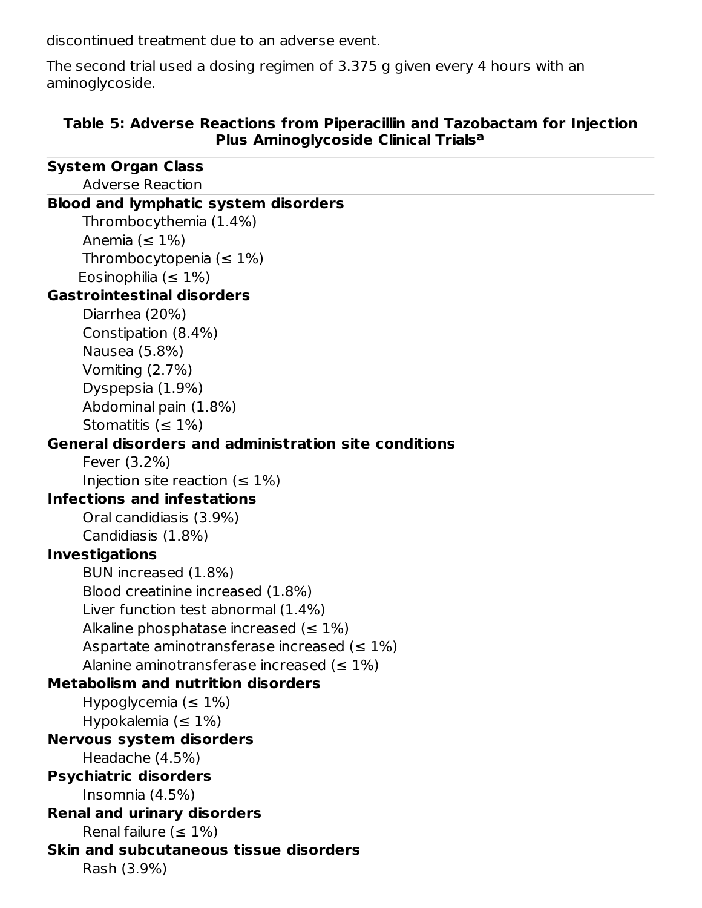discontinued treatment due to an adverse event.

The second trial used a dosing regimen of 3.375 g given every 4 hours with an aminoglycoside.

#### **Table 5: Adverse Reactions from Piperacillin and Tazobactam for Injection Plus Aminoglycoside Clinical Trials a**

| <b>System Organ Class</b>                                          |
|--------------------------------------------------------------------|
| <b>Adverse Reaction</b>                                            |
| <b>Blood and lymphatic system disorders</b>                        |
| Thrombocythemia (1.4%)                                             |
| Anemia ( $\leq 1\%$ )                                              |
| Thrombocytopenia ( $\leq 1\%$ )                                    |
| Eosinophilia ( $\leq 1\%$ )                                        |
| <b>Gastrointestinal disorders</b>                                  |
| Diarrhea (20%)                                                     |
| Constipation (8.4%)                                                |
| Nausea (5.8%)                                                      |
| Vomiting (2.7%)                                                    |
| Dyspepsia (1.9%)                                                   |
| Abdominal pain (1.8%)                                              |
| Stomatitis ( $\leq 1\%$ )                                          |
| General disorders and administration site conditions               |
| Fever (3.2%)                                                       |
| Injection site reaction ( $\leq 1\%$ )                             |
| <b>Infections and infestations</b>                                 |
| Oral candidiasis (3.9%)                                            |
| Candidiasis (1.8%)                                                 |
| <b>Investigations</b>                                              |
| BUN increased (1.8%)                                               |
| Blood creatinine increased (1.8%)                                  |
| Liver function test abnormal (1.4%)                                |
| Alkaline phosphatase increased ( $\leq 1\%$ )                      |
| Aspartate aminotransferase increased ( $\leq 1\%$ )                |
| Alanine aminotransferase increased ( $\leq 1\%$ )                  |
| <b>Metabolism and nutrition disorders</b>                          |
| Hypoglycemia ( $\leq 1\%$ )                                        |
| Hypokalemia $(\leq 1\%)$                                           |
| <b>Nervous system disorders</b>                                    |
| Headache (4.5%)                                                    |
| <b>Psychiatric disorders</b>                                       |
| Insomnia (4.5%)                                                    |
| <b>Renal and urinary disorders</b><br>Renal failure ( $\leq 1\%$ ) |
| Skin and subcutaneous tissue disorders                             |
| Rash (3.9%)                                                        |
|                                                                    |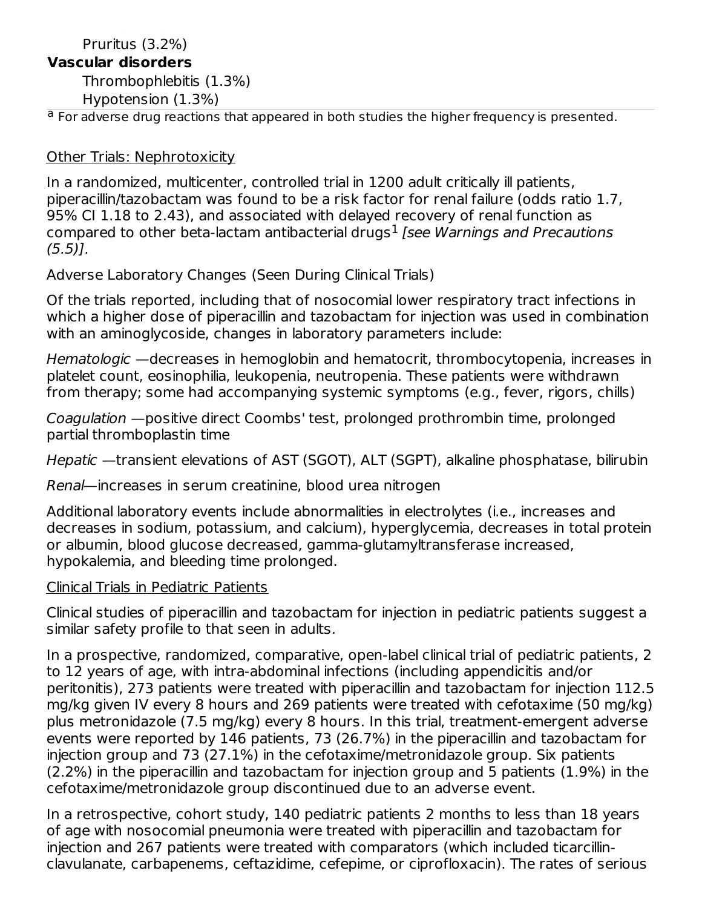#### Rash (3.9%) Pruritus (3.2%)

#### **Vascular disorders**

Thrombophlebitis (1.3%)

Hypotension (1.3%)

<sup>a</sup> For adverse drug reactions that appeared in both studies the higher frequency is presented.

#### Other Trials: Nephrotoxicity

In a randomized, multicenter, controlled trial in 1200 adult critically ill patients, piperacillin/tazobactam was found to be a risk factor for renal failure (odds ratio 1.7, 95% CI 1.18 to 2.43), and associated with delayed recovery of renal function as compared to other beta-lactam antibacterial drugs $^1$  [see Warnings and Precautions  $(5.5)$ ].

Adverse Laboratory Changes (Seen During Clinical Trials)

Of the trials reported, including that of nosocomial lower respiratory tract infections in which a higher dose of piperacillin and tazobactam for injection was used in combination with an aminoglycoside, changes in laboratory parameters include:

Hematologic —decreases in hemoglobin and hematocrit, thrombocytopenia, increases in platelet count, eosinophilia, leukopenia, neutropenia. These patients were withdrawn from therapy; some had accompanying systemic symptoms (e.g., fever, rigors, chills)

Coagulation —positive direct Coombs' test, prolonged prothrombin time, prolonged partial thromboplastin time

Hepatic —transient elevations of AST (SGOT), ALT (SGPT), alkaline phosphatase, bilirubin

Renal—increases in serum creatinine, blood urea nitrogen

Additional laboratory events include abnormalities in electrolytes (i.e., increases and decreases in sodium, potassium, and calcium), hyperglycemia, decreases in total protein or albumin, blood glucose decreased, gamma-glutamyltransferase increased, hypokalemia, and bleeding time prolonged.

#### Clinical Trials in Pediatric Patients

Clinical studies of piperacillin and tazobactam for injection in pediatric patients suggest a similar safety profile to that seen in adults.

In a prospective, randomized, comparative, open-label clinical trial of pediatric patients, 2 to 12 years of age, with intra-abdominal infections (including appendicitis and/or peritonitis), 273 patients were treated with piperacillin and tazobactam for injection 112.5 mg/kg given IV every 8 hours and 269 patients were treated with cefotaxime (50 mg/kg) plus metronidazole (7.5 mg/kg) every 8 hours. In this trial, treatment-emergent adverse events were reported by 146 patients, 73 (26.7%) in the piperacillin and tazobactam for injection group and 73 (27.1%) in the cefotaxime/metronidazole group. Six patients (2.2%) in the piperacillin and tazobactam for injection group and 5 patients (1.9%) in the cefotaxime/metronidazole group discontinued due to an adverse event.

In a retrospective, cohort study, 140 pediatric patients 2 months to less than 18 years of age with nosocomial pneumonia were treated with piperacillin and tazobactam for injection and 267 patients were treated with comparators (which included ticarcillinclavulanate, carbapenems, ceftazidime, cefepime, or ciprofloxacin). The rates of serious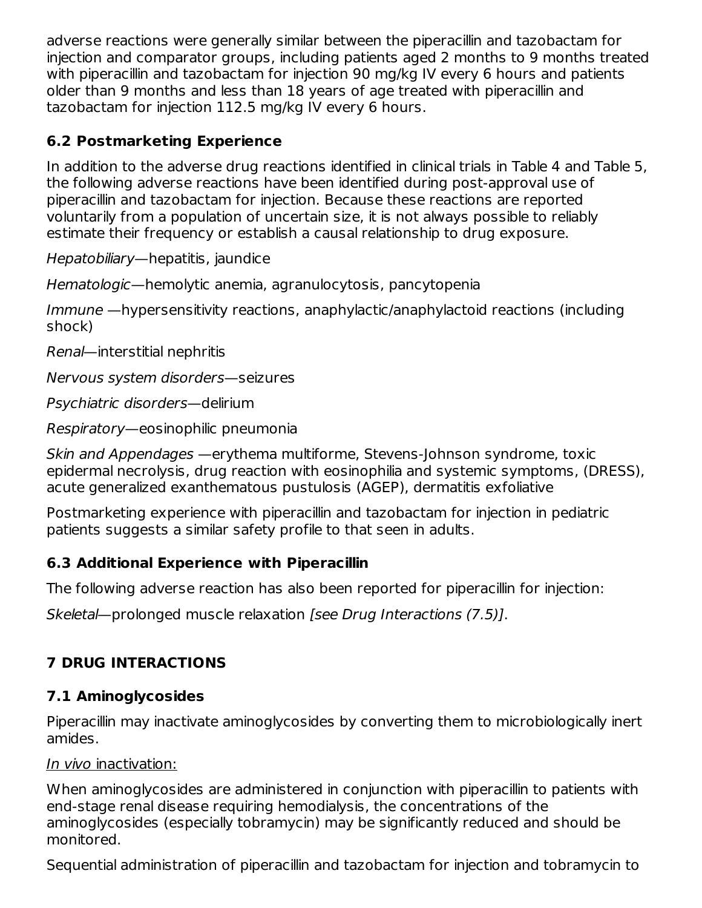adverse reactions were generally similar between the piperacillin and tazobactam for injection and comparator groups, including patients aged 2 months to 9 months treated with piperacillin and tazobactam for injection 90 mg/kg IV every 6 hours and patients older than 9 months and less than 18 years of age treated with piperacillin and tazobactam for injection 112.5 mg/kg IV every 6 hours.

#### **6.2 Postmarketing Experience**

In addition to the adverse drug reactions identified in clinical trials in Table 4 and Table 5, the following adverse reactions have been identified during post-approval use of piperacillin and tazobactam for injection. Because these reactions are reported voluntarily from a population of uncertain size, it is not always possible to reliably estimate their frequency or establish a causal relationship to drug exposure.

Hepatobiliary—hepatitis, jaundice

Hematologic—hemolytic anemia, agranulocytosis, pancytopenia

Immune —hypersensitivity reactions, anaphylactic/anaphylactoid reactions (including shock)

Renal—interstitial nephritis

Nervous system disorders—seizures

Psychiatric disorders—delirium

Respiratory—eosinophilic pneumonia

Skin and Appendages —erythema multiforme, Stevens-Johnson syndrome, toxic epidermal necrolysis, drug reaction with eosinophilia and systemic symptoms, (DRESS), acute generalized exanthematous pustulosis (AGEP), dermatitis exfoliative

Postmarketing experience with piperacillin and tazobactam for injection in pediatric patients suggests a similar safety profile to that seen in adults.

#### **6.3 Additional Experience with Piperacillin**

The following adverse reaction has also been reported for piperacillin for injection:

Skeletal—prolonged muscle relaxation [see Drug Interactions (7.5)].

## **7 DRUG INTERACTIONS**

## **7.1 Aminoglycosides**

Piperacillin may inactivate aminoglycosides by converting them to microbiologically inert amides.

#### In vivo inactivation:

When aminoglycosides are administered in conjunction with piperacillin to patients with end-stage renal disease requiring hemodialysis, the concentrations of the aminoglycosides (especially tobramycin) may be significantly reduced and should be monitored.

Sequential administration of piperacillin and tazobactam for injection and tobramycin to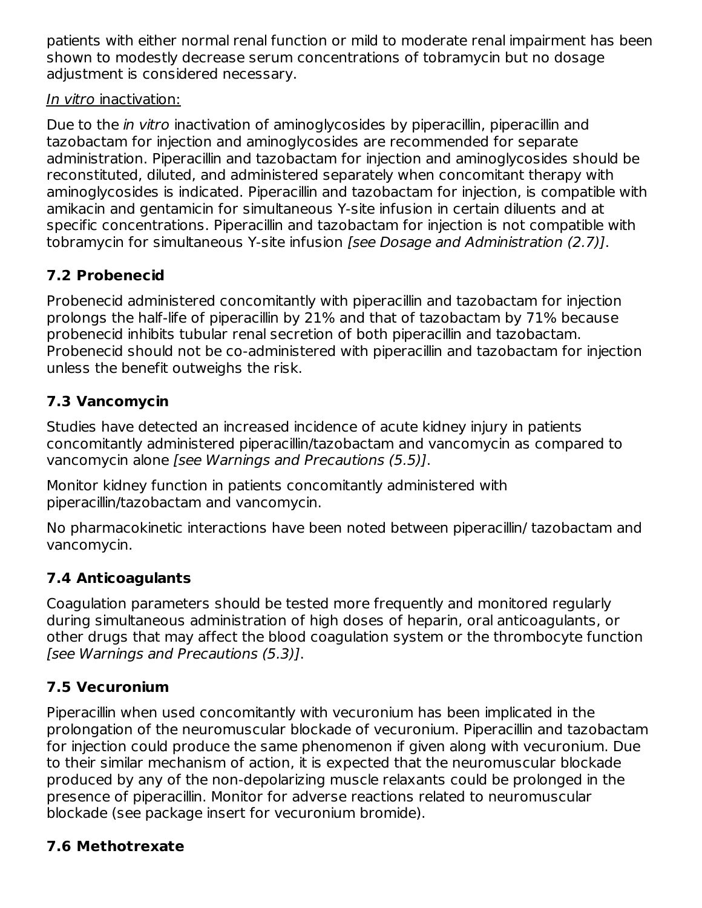patients with either normal renal function or mild to moderate renal impairment has been shown to modestly decrease serum concentrations of tobramycin but no dosage adjustment is considered necessary.

#### In vitro inactivation:

Due to the *in vitro* inactivation of aminoglycosides by piperacillin, piperacillin and tazobactam for injection and aminoglycosides are recommended for separate administration. Piperacillin and tazobactam for injection and aminoglycosides should be reconstituted, diluted, and administered separately when concomitant therapy with aminoglycosides is indicated. Piperacillin and tazobactam for injection, is compatible with amikacin and gentamicin for simultaneous Y-site infusion in certain diluents and at specific concentrations. Piperacillin and tazobactam for injection is not compatible with tobramycin for simultaneous Y-site infusion [see Dosage and Administration (2.7)].

## **7.2 Probenecid**

Probenecid administered concomitantly with piperacillin and tazobactam for injection prolongs the half-life of piperacillin by 21% and that of tazobactam by 71% because probenecid inhibits tubular renal secretion of both piperacillin and tazobactam. Probenecid should not be co-administered with piperacillin and tazobactam for injection unless the benefit outweighs the risk.

## **7.3 Vancomycin**

Studies have detected an increased incidence of acute kidney injury in patients concomitantly administered piperacillin/tazobactam and vancomycin as compared to vancomycin alone [see Warnings and Precautions (5.5)].

Monitor kidney function in patients concomitantly administered with piperacillin/tazobactam and vancomycin.

No pharmacokinetic interactions have been noted between piperacillin/ tazobactam and vancomycin.

## **7.4 Anticoagulants**

Coagulation parameters should be tested more frequently and monitored regularly during simultaneous administration of high doses of heparin, oral anticoagulants, or other drugs that may affect the blood coagulation system or the thrombocyte function [see Warnings and Precautions (5.3)].

#### **7.5 Vecuronium**

Piperacillin when used concomitantly with vecuronium has been implicated in the prolongation of the neuromuscular blockade of vecuronium. Piperacillin and tazobactam for injection could produce the same phenomenon if given along with vecuronium. Due to their similar mechanism of action, it is expected that the neuromuscular blockade produced by any of the non-depolarizing muscle relaxants could be prolonged in the presence of piperacillin. Monitor for adverse reactions related to neuromuscular blockade (see package insert for vecuronium bromide).

## **7.6 Methotrexate**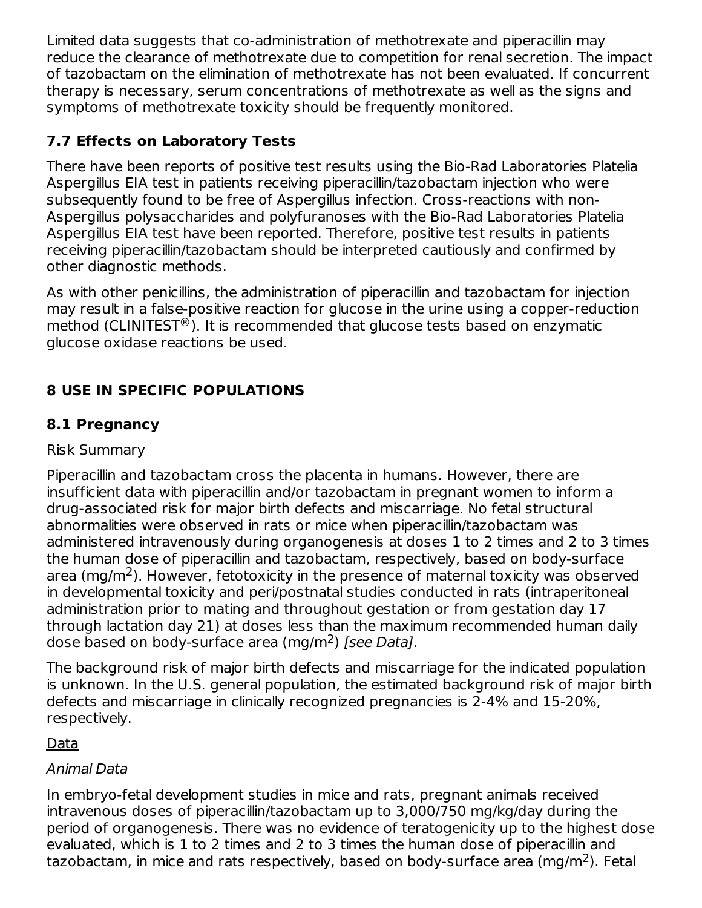Limited data suggests that co-administration of methotrexate and piperacillin may reduce the clearance of methotrexate due to competition for renal secretion. The impact of tazobactam on the elimination of methotrexate has not been evaluated. If concurrent therapy is necessary, serum concentrations of methotrexate as well as the signs and symptoms of methotrexate toxicity should be frequently monitored.

## **7.7 Effects on Laboratory Tests**

There have been reports of positive test results using the Bio-Rad Laboratories Platelia Aspergillus EIA test in patients receiving piperacillin/tazobactam injection who were subsequently found to be free of Aspergillus infection. Cross-reactions with non-Aspergillus polysaccharides and polyfuranoses with the Bio-Rad Laboratories Platelia Aspergillus EIA test have been reported. Therefore, positive test results in patients receiving piperacillin/tazobactam should be interpreted cautiously and confirmed by other diagnostic methods.

As with other penicillins, the administration of piperacillin and tazobactam for injection may result in a false-positive reaction for glucose in the urine using a copper-reduction method (CLINITEST $^{\circledR}$ ). It is recommended that glucose tests based on enzymatic glucose oxidase reactions be used.

## **8 USE IN SPECIFIC POPULATIONS**

#### **8.1 Pregnancy**

#### Risk Summary

Piperacillin and tazobactam cross the placenta in humans. However, there are insufficient data with piperacillin and/or tazobactam in pregnant women to inform a drug-associated risk for major birth defects and miscarriage. No fetal structural abnormalities were observed in rats or mice when piperacillin/tazobactam was administered intravenously during organogenesis at doses 1 to 2 times and 2 to 3 times the human dose of piperacillin and tazobactam, respectively, based on body-surface area (mg/m<sup>2</sup>). However, fetotoxicity in the presence of maternal toxicity was observed in developmental toxicity and peri/postnatal studies conducted in rats (intraperitoneal administration prior to mating and throughout gestation or from gestation day 17 through lactation day 21) at doses less than the maximum recommended human daily dose based on body-surface area (mg/m<sup>2</sup>) [see Data].

The background risk of major birth defects and miscarriage for the indicated population is unknown. In the U.S. general population, the estimated background risk of major birth defects and miscarriage in clinically recognized pregnancies is 2-4% and 15-20%, respectively.

#### Data

#### Animal Data

In embryo-fetal development studies in mice and rats, pregnant animals received intravenous doses of piperacillin/tazobactam up to 3,000/750 mg/kg/day during the period of organogenesis. There was no evidence of teratogenicity up to the highest dose evaluated, which is 1 to 2 times and 2 to 3 times the human dose of piperacillin and tazobactam, in mice and rats respectively, based on body-surface area (mg/m<sup>2</sup>). Fetal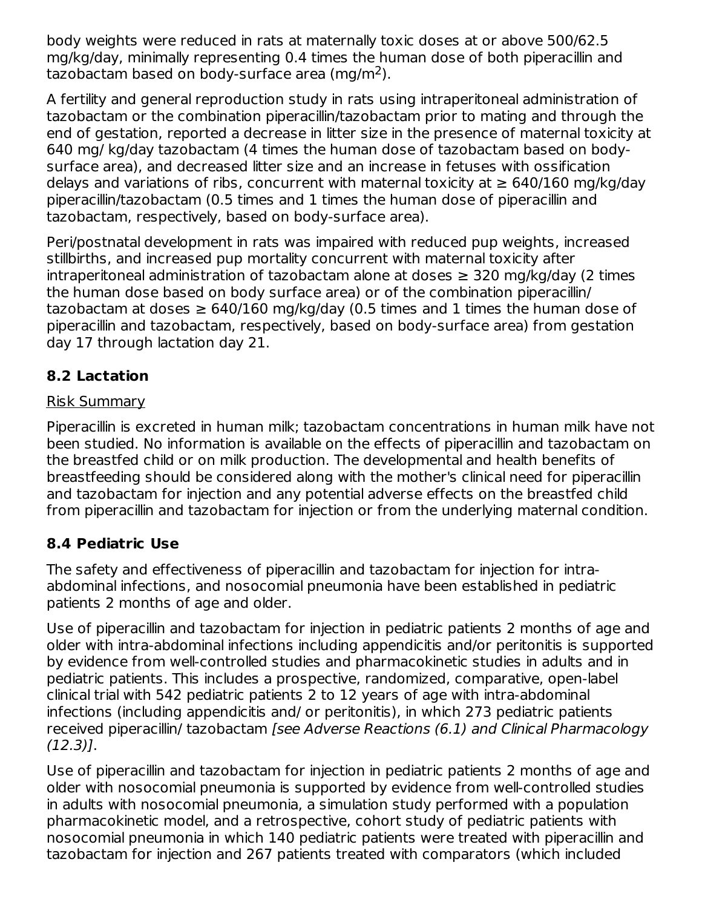body weights were reduced in rats at maternally toxic doses at or above 500/62.5 mg/kg/day, minimally representing 0.4 times the human dose of both piperacillin and tazobactam based on body-surface area (mg/m<sup>2</sup>).

A fertility and general reproduction study in rats using intraperitoneal administration of tazobactam or the combination piperacillin/tazobactam prior to mating and through the end of gestation, reported a decrease in litter size in the presence of maternal toxicity at 640 mg/ kg/day tazobactam (4 times the human dose of tazobactam based on bodysurface area), and decreased litter size and an increase in fetuses with ossification delays and variations of ribs, concurrent with maternal toxicity at  $\geq 640/160$  mg/kg/day piperacillin/tazobactam (0.5 times and 1 times the human dose of piperacillin and tazobactam, respectively, based on body-surface area).

Peri/postnatal development in rats was impaired with reduced pup weights, increased stillbirths, and increased pup mortality concurrent with maternal toxicity after intraperitoneal administration of tazobactam alone at doses ≥ 320 mg/kg/day (2 times the human dose based on body surface area) or of the combination piperacillin/ tazobactam at doses  $\geq 640/160$  mg/kg/day (0.5 times and 1 times the human dose of piperacillin and tazobactam, respectively, based on body-surface area) from gestation day 17 through lactation day 21.

## **8.2 Lactation**

#### Risk Summary

Piperacillin is excreted in human milk; tazobactam concentrations in human milk have not been studied. No information is available on the effects of piperacillin and tazobactam on the breastfed child or on milk production. The developmental and health benefits of breastfeeding should be considered along with the mother's clinical need for piperacillin and tazobactam for injection and any potential adverse effects on the breastfed child from piperacillin and tazobactam for injection or from the underlying maternal condition.

#### **8.4 Pediatric Use**

The safety and effectiveness of piperacillin and tazobactam for injection for intraabdominal infections, and nosocomial pneumonia have been established in pediatric patients 2 months of age and older.

Use of piperacillin and tazobactam for injection in pediatric patients 2 months of age and older with intra-abdominal infections including appendicitis and/or peritonitis is supported by evidence from well-controlled studies and pharmacokinetic studies in adults and in pediatric patients. This includes a prospective, randomized, comparative, open-label clinical trial with 542 pediatric patients 2 to 12 years of age with intra-abdominal infections (including appendicitis and/ or peritonitis), in which 273 pediatric patients received piperacillin/ tazobactam [see Adverse Reactions (6.1) and Clinical Pharmacology (12.3)].

Use of piperacillin and tazobactam for injection in pediatric patients 2 months of age and older with nosocomial pneumonia is supported by evidence from well-controlled studies in adults with nosocomial pneumonia, a simulation study performed with a population pharmacokinetic model, and a retrospective, cohort study of pediatric patients with nosocomial pneumonia in which 140 pediatric patients were treated with piperacillin and tazobactam for injection and 267 patients treated with comparators (which included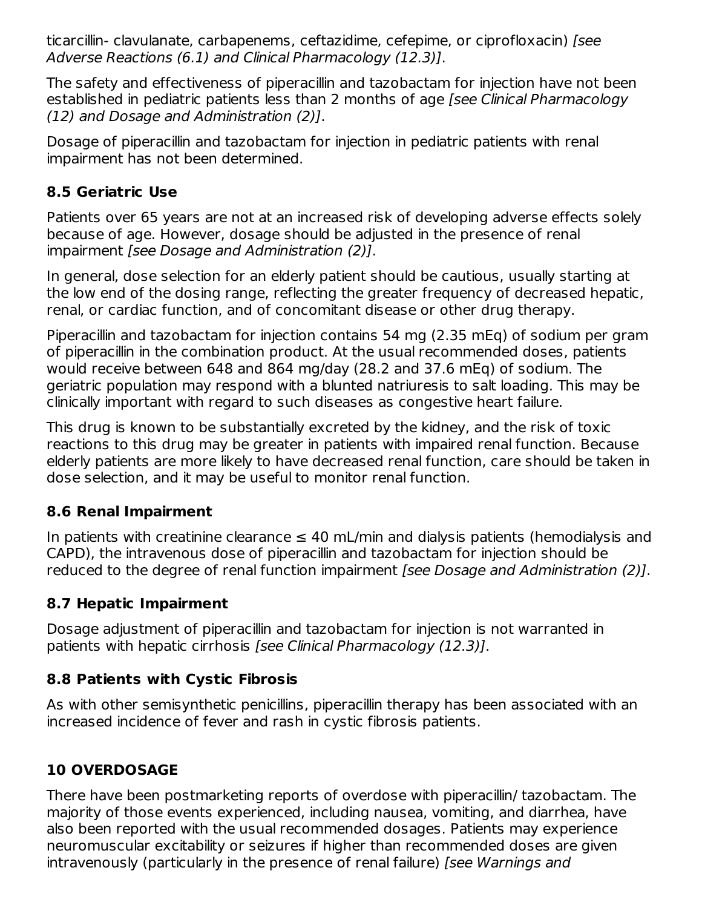ticarcillin- clavulanate, carbapenems, ceftazidime, cefepime, or ciprofloxacin) [see Adverse Reactions (6.1) and Clinical Pharmacology (12.3)].

The safety and effectiveness of piperacillin and tazobactam for injection have not been established in pediatric patients less than 2 months of age [see Clinical Pharmacology (12) and Dosage and Administration (2)].

Dosage of piperacillin and tazobactam for injection in pediatric patients with renal impairment has not been determined.

#### **8.5 Geriatric Use**

Patients over 65 years are not at an increased risk of developing adverse effects solely because of age. However, dosage should be adjusted in the presence of renal impairment [see Dosage and Administration (2)].

In general, dose selection for an elderly patient should be cautious, usually starting at the low end of the dosing range, reflecting the greater frequency of decreased hepatic, renal, or cardiac function, and of concomitant disease or other drug therapy.

Piperacillin and tazobactam for injection contains 54 mg (2.35 mEq) of sodium per gram of piperacillin in the combination product. At the usual recommended doses, patients would receive between 648 and 864 mg/day (28.2 and 37.6 mEq) of sodium. The geriatric population may respond with a blunted natriuresis to salt loading. This may be clinically important with regard to such diseases as congestive heart failure.

This drug is known to be substantially excreted by the kidney, and the risk of toxic reactions to this drug may be greater in patients with impaired renal function. Because elderly patients are more likely to have decreased renal function, care should be taken in dose selection, and it may be useful to monitor renal function.

#### **8.6 Renal Impairment**

In patients with creatinine clearance  $\leq 40$  mL/min and dialysis patients (hemodialysis and CAPD), the intravenous dose of piperacillin and tazobactam for injection should be reduced to the degree of renal function impairment *[see Dosage and Administration (2)]*.

## **8.7 Hepatic Impairment**

Dosage adjustment of piperacillin and tazobactam for injection is not warranted in patients with hepatic cirrhosis [see Clinical Pharmacology (12.3)].

## **8.8 Patients with Cystic Fibrosis**

As with other semisynthetic penicillins, piperacillin therapy has been associated with an increased incidence of fever and rash in cystic fibrosis patients.

## **10 OVERDOSAGE**

There have been postmarketing reports of overdose with piperacillin/ tazobactam. The majority of those events experienced, including nausea, vomiting, and diarrhea, have also been reported with the usual recommended dosages. Patients may experience neuromuscular excitability or seizures if higher than recommended doses are given intravenously (particularly in the presence of renal failure) [see Warnings and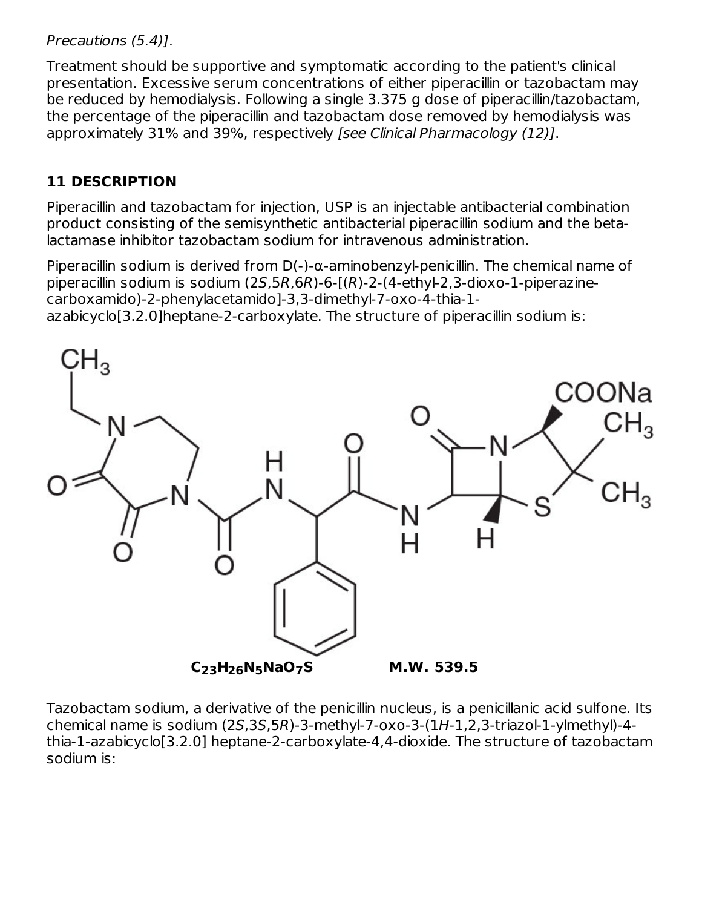Precautions (5.4)].

Treatment should be supportive and symptomatic according to the patient's clinical presentation. Excessive serum concentrations of either piperacillin or tazobactam may be reduced by hemodialysis. Following a single 3.375 g dose of piperacillin/tazobactam, the percentage of the piperacillin and tazobactam dose removed by hemodialysis was approximately 31% and 39%, respectively [see Clinical Pharmacology (12)].

## **11 DESCRIPTION**

Piperacillin and tazobactam for injection, USP is an injectable antibacterial combination product consisting of the semisynthetic antibacterial piperacillin sodium and the betalactamase inhibitor tazobactam sodium for intravenous administration.

Piperacillin sodium is derived from  $D(-)$ - $\alpha$ -aminobenzyl-penicillin. The chemical name of piperacillin sodium is sodium (2S,5R,6R)-6-[(R)-2-(4-ethyl-2,3-dioxo-1-piperazinecarboxamido)-2-phenylacetamido]-3,3-dimethyl-7-oxo-4-thia-1 azabicyclo[3.2.0]heptane-2-carboxylate. The structure of piperacillin sodium is:



Tazobactam sodium, a derivative of the penicillin nucleus, is a penicillanic acid sulfone. Its chemical name is sodium (2S,3S,5R)-3-methyl-7-oxo-3-(1H-1,2,3-triazol-1-ylmethyl)-4 thia-1-azabicyclo[3.2.0] heptane-2-carboxylate-4,4-dioxide. The structure of tazobactam sodium is: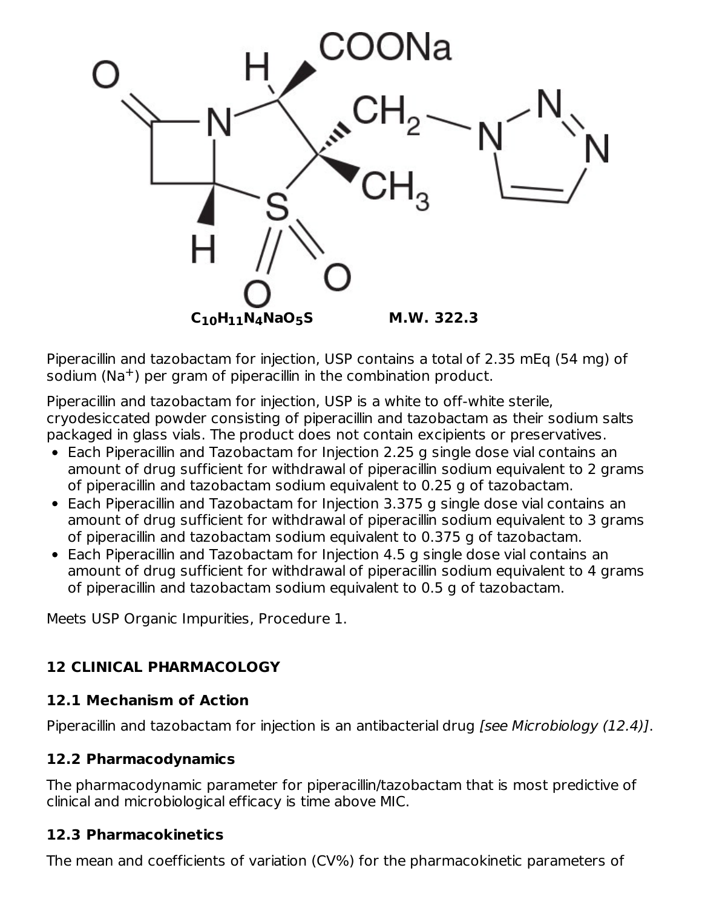

Piperacillin and tazobactam for injection, USP contains a total of 2.35 mEq (54 mg) of sodium (Na<sup>+</sup>) per gram of piperacillin in the combination product.

Piperacillin and tazobactam for injection, USP is a white to off-white sterile, cryodesiccated powder consisting of piperacillin and tazobactam as their sodium salts packaged in glass vials. The product does not contain excipients or preservatives.

- Each Piperacillin and Tazobactam for Injection 2.25 g single dose vial contains an amount of drug sufficient for withdrawal of piperacillin sodium equivalent to 2 grams of piperacillin and tazobactam sodium equivalent to 0.25 g of tazobactam.
- Each Piperacillin and Tazobactam for Injection 3.375 g single dose vial contains an amount of drug sufficient for withdrawal of piperacillin sodium equivalent to 3 grams of piperacillin and tazobactam sodium equivalent to 0.375 g of tazobactam.
- Each Piperacillin and Tazobactam for Injection 4.5 g single dose vial contains an amount of drug sufficient for withdrawal of piperacillin sodium equivalent to 4 grams of piperacillin and tazobactam sodium equivalent to 0.5 g of tazobactam.

Meets USP Organic Impurities, Procedure 1.

## **12 CLINICAL PHARMACOLOGY**

#### **12.1 Mechanism of Action**

Piperacillin and tazobactam for injection is an antibacterial drug [see Microbiology (12.4)].

## **12.2 Pharmacodynamics**

The pharmacodynamic parameter for piperacillin/tazobactam that is most predictive of clinical and microbiological efficacy is time above MIC.

## **12.3 Pharmacokinetics**

The mean and coefficients of variation (CV%) for the pharmacokinetic parameters of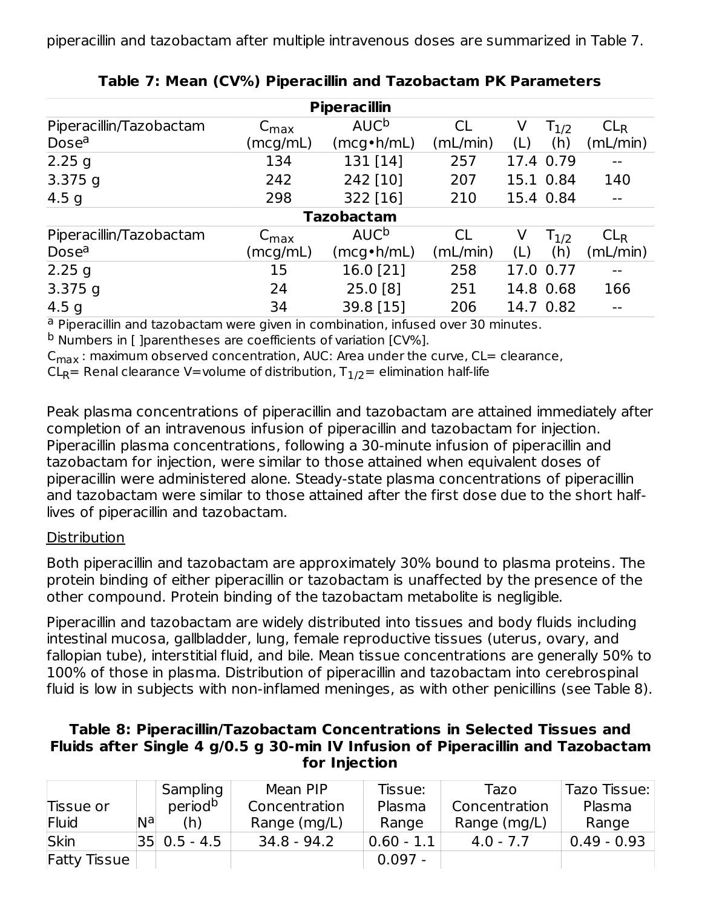| <b>Piperacillin</b>     |                             |                        |           |     |           |                 |  |
|-------------------------|-----------------------------|------------------------|-----------|-----|-----------|-----------------|--|
| Piperacillin/Tazobactam | $\mathsf{C}_{\mathsf{max}}$ | <b>AUC<sup>b</sup></b> | <b>CL</b> | V   | $T_{1/2}$ | CL <sub>R</sub> |  |
| Dose <sup>a</sup>       | (mcg/mL)                    | $(mcg\cdot h/mL)$      | (mL/min)  | (L) | (h)       | (mL/min)        |  |
| $2.25$ g                | 134                         | 131 [14]               | 257       |     | 17.4 0.79 |                 |  |
| $3.375$ g               | 242                         | 242 [10]               | 207       |     | 15.1 0.84 | 140             |  |
| 4.5 $g$                 | 298                         | 322 [16]               | 210       |     | 15.4 0.84 | $- -$           |  |
|                         |                             | <b>Tazobactam</b>      |           |     |           |                 |  |
| Piperacillin/Tazobactam | $\mathsf{C}_{\textsf{max}}$ | AUC <sup>b</sup>       | <b>CL</b> | V   | $T_{1/2}$ | CL <sub>R</sub> |  |
| Dose <sup>a</sup>       | (mcg/mL)                    | $(mcg\cdot h/mL)$      | (mL/min)  | (L) | (h)       | (mL/min)        |  |
| 2.25g                   | 15                          | 16.0 [21]              | 258       |     | 17.0 0.77 |                 |  |
| $3.375$ g               | 24                          | 25.0 [8]               | 251       |     | 14.8 0.68 | 166             |  |
| 4.5 $q$                 | 34                          | 39.8 [15]              | 206       |     | 14.7 0.82 | $- -$           |  |

#### **Table 7: Mean (CV%) Piperacillin and Tazobactam PK Parameters**

<sup>a</sup> Piperacillin and tazobactam were given in combination, infused over 30 minutes.

<sup>b</sup> Numbers in [ ]parentheses are coefficients of variation [CV%].

 $\mathsf{C}_{\mathsf{max}}$  : maximum observed concentration, AUC: Area under the curve, CL= clearance,

 $\mathsf{CL}_\mathsf{R}\mathsf{=}$  Renal clearance V=volume of distribution,  $\mathsf{T}_{\mathsf{1/2}}\mathsf{=}$  elimination half-life

Peak plasma concentrations of piperacillin and tazobactam are attained immediately after completion of an intravenous infusion of piperacillin and tazobactam for injection. Piperacillin plasma concentrations, following a 30-minute infusion of piperacillin and tazobactam for injection, were similar to those attained when equivalent doses of piperacillin were administered alone. Steady-state plasma concentrations of piperacillin and tazobactam were similar to those attained after the first dose due to the short halflives of piperacillin and tazobactam.

#### **Distribution**

Both piperacillin and tazobactam are approximately 30% bound to plasma proteins. The protein binding of either piperacillin or tazobactam is unaffected by the presence of the other compound. Protein binding of the tazobactam metabolite is negligible.

Piperacillin and tazobactam are widely distributed into tissues and body fluids including intestinal mucosa, gallbladder, lung, female reproductive tissues (uterus, ovary, and fallopian tube), interstitial fluid, and bile. Mean tissue concentrations are generally 50% to 100% of those in plasma. Distribution of piperacillin and tazobactam into cerebrospinal fluid is low in subjects with non-inflamed meninges, as with other penicillins (see Table 8).

#### **Table 8: Piperacillin/Tazobactam Concentrations in Selected Tissues and Fluids after Single 4 g/0.5 g 30-min IV Infusion of Piperacillin and Tazobactam for Injection**

|                     |    | Sampling         | Mean PIP      | Tissue:      | Tazo          | Tazo Tissue:  |
|---------------------|----|------------------|---------------|--------------|---------------|---------------|
| Tissue or           |    | periodb          | Concentration | Plasma       | Concentration | Plasma        |
| Fluid               | Nа | (h)              | Range (mg/L)  | Range        | Range (mg/L)  | Range         |
| Skin                |    | $ 35 $ 0.5 - 4.5 | 34.8 - 94.2   | $0.60 - 1.1$ | $4.0 - 7.7$   | $0.49 - 0.93$ |
| <b>Fatty Tissue</b> |    |                  |               | $0.097 -$    |               |               |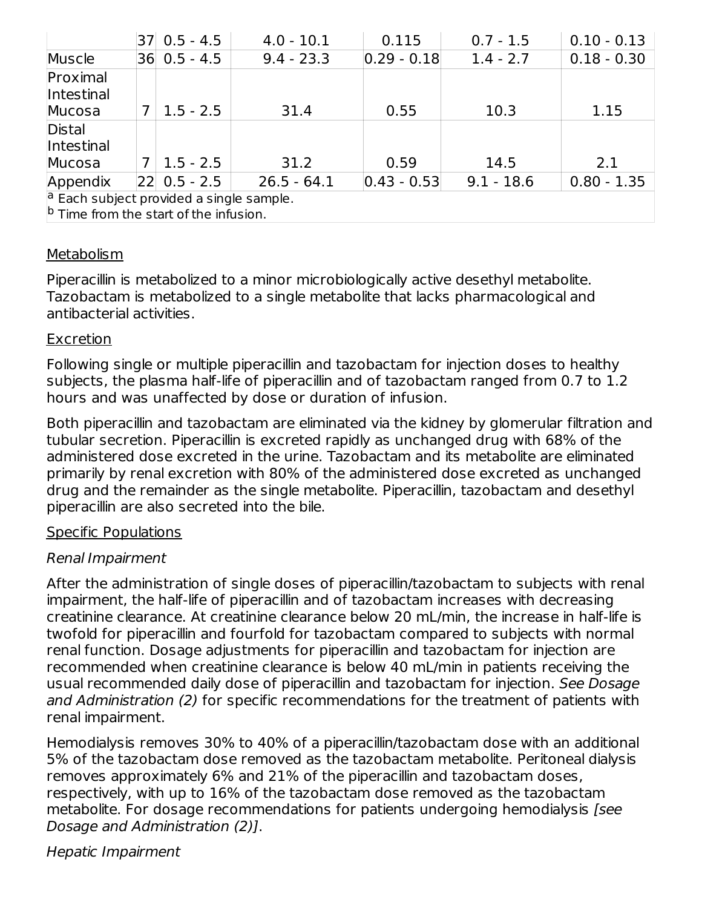|                                                                                                      |   | 37 0.5 - 4.5     | $4.0 - 10.1$  | 0.115           | $0.7 - 1.5$  | $0.10 - 0.13$ |
|------------------------------------------------------------------------------------------------------|---|------------------|---------------|-----------------|--------------|---------------|
| Muscle                                                                                               |   | $36$ 0.5 - 4.5   | $9.4 - 23.3$  | $0.29 - 0.18$   | $1.4 - 2.7$  | $0.18 - 0.30$ |
| Proximal<br>Intestinal                                                                               |   |                  |               |                 |              |               |
| Mucosa                                                                                               | 7 | $1.5 - 2.5$      | 31.4          | 0.55            | 10.3         | 1.15          |
| <b>Distal</b><br><i>Intestinal</i>                                                                   |   |                  |               |                 |              |               |
| Mucosa                                                                                               | 7 | $1.5 - 2.5$      | 31.2          | 0.59            | 14.5         | 2.1           |
| Appendix                                                                                             |   | $ 22 $ 0.5 - 2.5 | $26.5 - 64.1$ | $ 0.43 - 0.53 $ | $9.1 - 18.6$ | $0.80 - 1.35$ |
| $\vert a \vert$ Each subject provided a single sample.<br>$ b $ Time from the start of the infusion. |   |                  |               |                 |              |               |

#### **Metabolism**

Piperacillin is metabolized to a minor microbiologically active desethyl metabolite. Tazobactam is metabolized to a single metabolite that lacks pharmacological and antibacterial activities.

#### Excretion

Following single or multiple piperacillin and tazobactam for injection doses to healthy subjects, the plasma half-life of piperacillin and of tazobactam ranged from 0.7 to 1.2 hours and was unaffected by dose or duration of infusion.

Both piperacillin and tazobactam are eliminated via the kidney by glomerular filtration and tubular secretion. Piperacillin is excreted rapidly as unchanged drug with 68% of the administered dose excreted in the urine. Tazobactam and its metabolite are eliminated primarily by renal excretion with 80% of the administered dose excreted as unchanged drug and the remainder as the single metabolite. Piperacillin, tazobactam and desethyl piperacillin are also secreted into the bile.

#### Specific Populations

#### Renal Impairment

After the administration of single doses of piperacillin/tazobactam to subjects with renal impairment, the half-life of piperacillin and of tazobactam increases with decreasing creatinine clearance. At creatinine clearance below 20 mL/min, the increase in half-life is twofold for piperacillin and fourfold for tazobactam compared to subjects with normal renal function. Dosage adjustments for piperacillin and tazobactam for injection are recommended when creatinine clearance is below 40 mL/min in patients receiving the usual recommended daily dose of piperacillin and tazobactam for injection. See Dosage and Administration (2) for specific recommendations for the treatment of patients with renal impairment.

Hemodialysis removes 30% to 40% of a piperacillin/tazobactam dose with an additional 5% of the tazobactam dose removed as the tazobactam metabolite. Peritoneal dialysis removes approximately 6% and 21% of the piperacillin and tazobactam doses, respectively, with up to 16% of the tazobactam dose removed as the tazobactam metabolite. For dosage recommendations for patients undergoing hemodialysis [see Dosage and Administration (2)].

Hepatic Impairment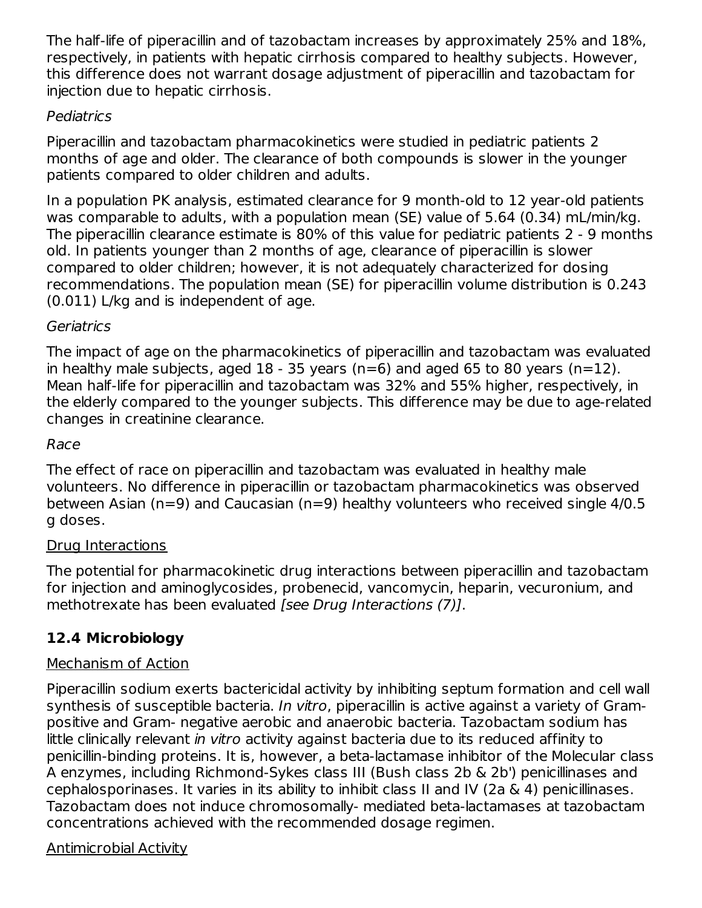The half-life of piperacillin and of tazobactam increases by approximately 25% and 18%, respectively, in patients with hepatic cirrhosis compared to healthy subjects. However, this difference does not warrant dosage adjustment of piperacillin and tazobactam for injection due to hepatic cirrhosis.

#### Pediatrics

Piperacillin and tazobactam pharmacokinetics were studied in pediatric patients 2 months of age and older. The clearance of both compounds is slower in the younger patients compared to older children and adults.

In a population PK analysis, estimated clearance for 9 month-old to 12 year-old patients was comparable to adults, with a population mean (SE) value of 5.64 (0.34) mL/min/kg. The piperacillin clearance estimate is 80% of this value for pediatric patients 2 - 9 months old. In patients younger than 2 months of age, clearance of piperacillin is slower compared to older children; however, it is not adequately characterized for dosing recommendations. The population mean (SE) for piperacillin volume distribution is 0.243 (0.011) L/kg and is independent of age.

#### **Geriatrics**

The impact of age on the pharmacokinetics of piperacillin and tazobactam was evaluated in healthy male subjects, aged  $18 - 35$  years (n=6) and aged 65 to 80 years (n=12). Mean half-life for piperacillin and tazobactam was 32% and 55% higher, respectively, in the elderly compared to the younger subjects. This difference may be due to age-related changes in creatinine clearance.

#### Race

The effect of race on piperacillin and tazobactam was evaluated in healthy male volunteers. No difference in piperacillin or tazobactam pharmacokinetics was observed between Asian (n=9) and Caucasian (n=9) healthy volunteers who received single 4/0.5 g doses.

#### Drug Interactions

The potential for pharmacokinetic drug interactions between piperacillin and tazobactam for injection and aminoglycosides, probenecid, vancomycin, heparin, vecuronium, and methotrexate has been evaluated [see Drug Interactions (7)].

## **12.4 Microbiology**

## Mechanism of Action

Piperacillin sodium exerts bactericidal activity by inhibiting septum formation and cell wall synthesis of susceptible bacteria. In vitro, piperacillin is active against a variety of Grampositive and Gram- negative aerobic and anaerobic bacteria. Tazobactam sodium has little clinically relevant in vitro activity against bacteria due to its reduced affinity to penicillin-binding proteins. It is, however, a beta-lactamase inhibitor of the Molecular class A enzymes, including Richmond-Sykes class III (Bush class 2b & 2b') penicillinases and cephalosporinases. It varies in its ability to inhibit class II and IV (2a & 4) penicillinases. Tazobactam does not induce chromosomally- mediated beta-lactamases at tazobactam concentrations achieved with the recommended dosage regimen.

## Antimicrobial Activity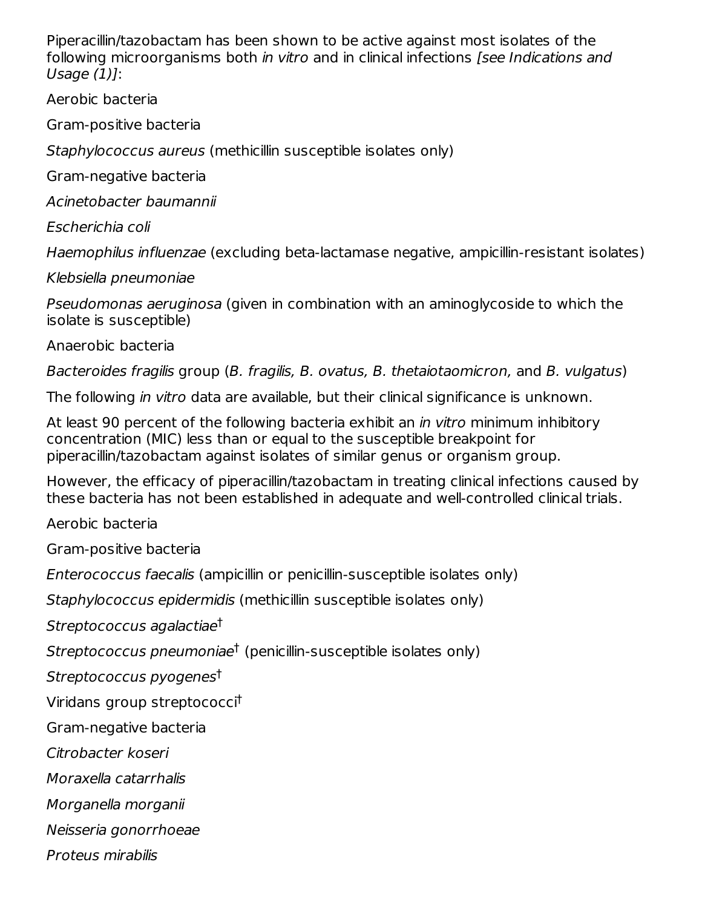Piperacillin/tazobactam has been shown to be active against most isolates of the following microorganisms both in vitro and in clinical infections *[see Indications and* Usage (1)]:

Aerobic bacteria

Gram-positive bacteria

Staphylococcus aureus (methicillin susceptible isolates only)

Gram-negative bacteria

Acinetobacter baumannii

Escherichia coli

Haemophilus influenzae (excluding beta-lactamase negative, ampicillin-resistant isolates)

Klebsiella pneumoniae

Pseudomonas aeruginosa (given in combination with an aminoglycoside to which the isolate is susceptible)

Anaerobic bacteria

Bacteroides fragilis group (B. fragilis, B. ovatus, B. thetaiotaomicron, and B. vulgatus)

The following in vitro data are available, but their clinical significance is unknown.

At least 90 percent of the following bacteria exhibit an *in vitro* minimum inhibitory concentration (MIC) less than or equal to the susceptible breakpoint for piperacillin/tazobactam against isolates of similar genus or organism group.

However, the efficacy of piperacillin/tazobactam in treating clinical infections caused by these bacteria has not been established in adequate and well-controlled clinical trials.

Aerobic bacteria

Gram-positive bacteria

Enterococcus faecalis (ampicillin or penicillin-susceptible isolates only)

Staphylococcus epidermidis (methicillin susceptible isolates only)

Streptococcus agalactiae †

Streptococcus pneumoniae<sup>t</sup> (penicillin-susceptible isolates only)

Streptococcus pyogenes †

Viridans group streptococci †

Gram-negative bacteria

Citrobacter koseri

Moraxella catarrhalis

Morganella morganii

Neisseria gonorrhoeae

Proteus mirabilis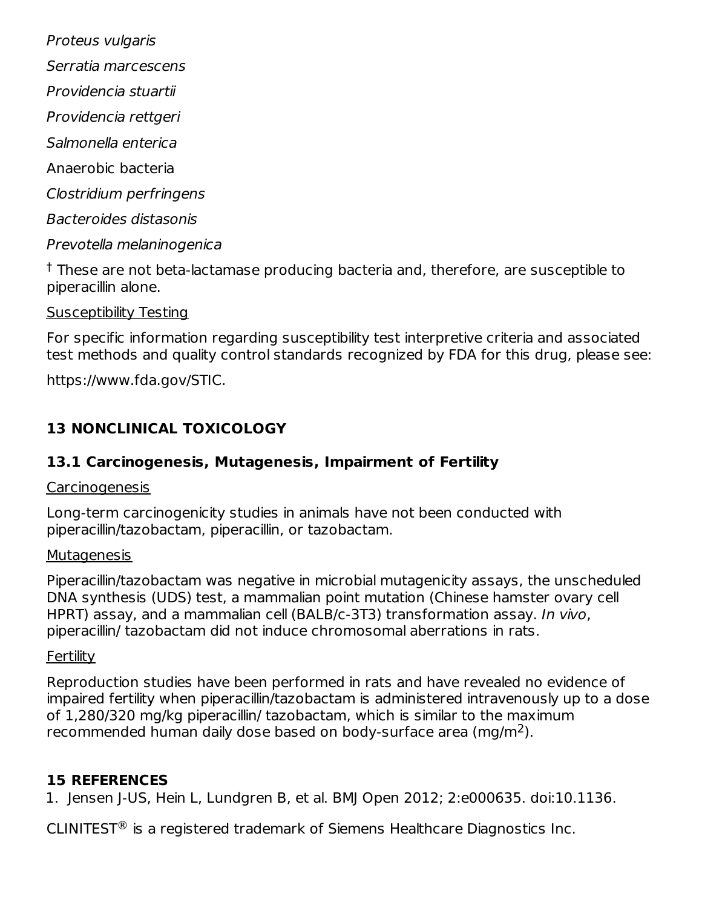Proteus vulgaris

- Serratia marcescens
- Providencia stuartii
- Providencia rettgeri
- Salmonella enterica
- Anaerobic bacteria
- Clostridium perfringens
- Bacteroides distasonis
- Prevotella melaninogenica

 $^\dagger$  These are not beta-lactamase producing bacteria and, therefore, are susceptible to piperacillin alone.

Susceptibility Testing

For specific information regarding susceptibility test interpretive criteria and associated test methods and quality control standards recognized by FDA for this drug, please see:

https://www.fda.gov/STIC.

## **13 NONCLINICAL TOXICOLOGY**

## **13.1 Carcinogenesis, Mutagenesis, Impairment of Fertility**

#### **Carcinogenesis**

Long-term carcinogenicity studies in animals have not been conducted with piperacillin/tazobactam, piperacillin, or tazobactam.

#### **Mutagenesis**

Piperacillin/tazobactam was negative in microbial mutagenicity assays, the unscheduled DNA synthesis (UDS) test, a mammalian point mutation (Chinese hamster ovary cell HPRT) assay, and a mammalian cell (BALB/c-3T3) transformation assay. In vivo, piperacillin/ tazobactam did not induce chromosomal aberrations in rats.

#### **Fertility**

Reproduction studies have been performed in rats and have revealed no evidence of impaired fertility when piperacillin/tazobactam is administered intravenously up to a dose of 1,280/320 mg/kg piperacillin/ tazobactam, which is similar to the maximum recommended human daily dose based on body-surface area (mg/m<sup>2</sup>).

## **15 REFERENCES**

1. Jensen J-US, Hein L, Lundgren B, et al. BMJ Open 2012; 2:e000635. doi:10.1136.

CLINITEST $\mathcal{P}$  is a registered trademark of Siemens Healthcare Diagnostics Inc.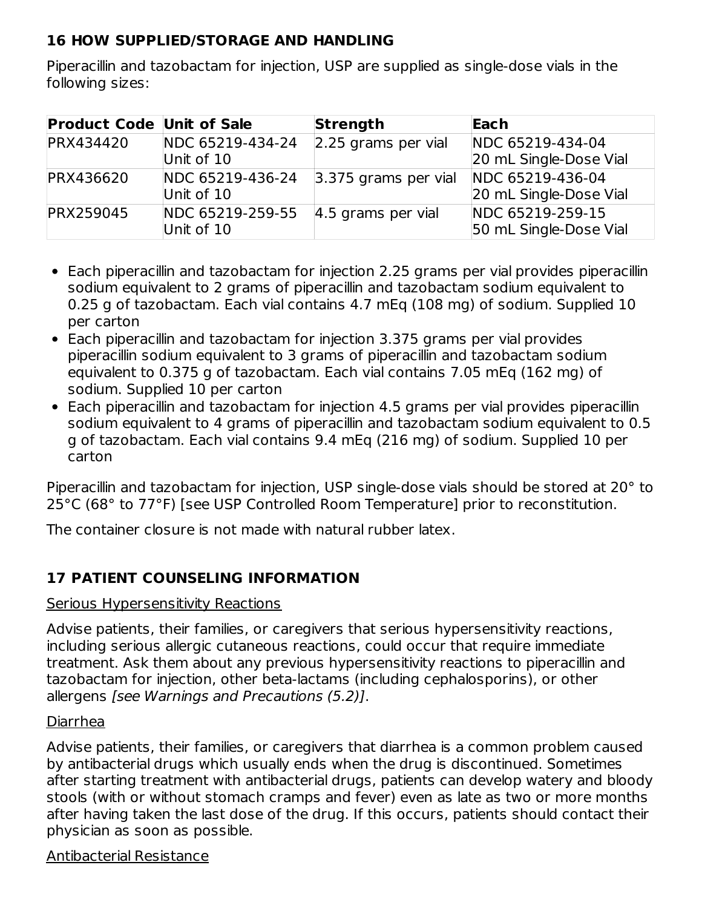#### **16 HOW SUPPLIED/STORAGE AND HANDLING**

Piperacillin and tazobactam for injection, USP are supplied as single-dose vials in the following sizes:

| <b>Product Code Unit of Sale</b> |                  | <b>Strength</b>                       | Each                   |
|----------------------------------|------------------|---------------------------------------|------------------------|
| <b>PRX434420</b>                 | NDC 65219-434-24 | 2.25 grams per vial                   | NDC 65219-434-04       |
|                                  | Unit of 10       |                                       | 20 mL Single-Dose Vial |
| <b>PRX436620</b>                 | NDC 65219-436-24 | 3.375 grams per vial NDC 65219-436-04 |                        |
|                                  | Unit of 10       |                                       | 20 mL Single-Dose Vial |
| <b>PRX259045</b>                 | NDC 65219-259-55 | $ 4.5$ grams per vial                 | NDC 65219-259-15       |
|                                  | Unit of 10       |                                       | 50 mL Single-Dose Vial |

- Each piperacillin and tazobactam for injection 2.25 grams per vial provides piperacillin sodium equivalent to 2 grams of piperacillin and tazobactam sodium equivalent to 0.25 g of tazobactam. Each vial contains 4.7 mEq (108 mg) of sodium. Supplied 10 per carton
- Each piperacillin and tazobactam for injection 3.375 grams per vial provides piperacillin sodium equivalent to 3 grams of piperacillin and tazobactam sodium equivalent to 0.375 g of tazobactam. Each vial contains 7.05 mEq (162 mg) of sodium. Supplied 10 per carton
- Each piperacillin and tazobactam for injection 4.5 grams per vial provides piperacillin sodium equivalent to 4 grams of piperacillin and tazobactam sodium equivalent to 0.5 g of tazobactam. Each vial contains 9.4 mEq (216 mg) of sodium. Supplied 10 per carton

Piperacillin and tazobactam for injection, USP single-dose vials should be stored at 20° to 25°C (68° to 77°F) [see USP Controlled Room Temperature] prior to reconstitution.

The container closure is not made with natural rubber latex.

#### **17 PATIENT COUNSELING INFORMATION**

#### Serious Hypersensitivity Reactions

Advise patients, their families, or caregivers that serious hypersensitivity reactions, including serious allergic cutaneous reactions, could occur that require immediate treatment. Ask them about any previous hypersensitivity reactions to piperacillin and tazobactam for injection, other beta-lactams (including cephalosporins), or other allergens [see Warnings and Precautions (5.2)].

#### Diarrhea

Advise patients, their families, or caregivers that diarrhea is a common problem caused by antibacterial drugs which usually ends when the drug is discontinued. Sometimes after starting treatment with antibacterial drugs, patients can develop watery and bloody stools (with or without stomach cramps and fever) even as late as two or more months after having taken the last dose of the drug. If this occurs, patients should contact their physician as soon as possible.

#### Antibacterial Resistance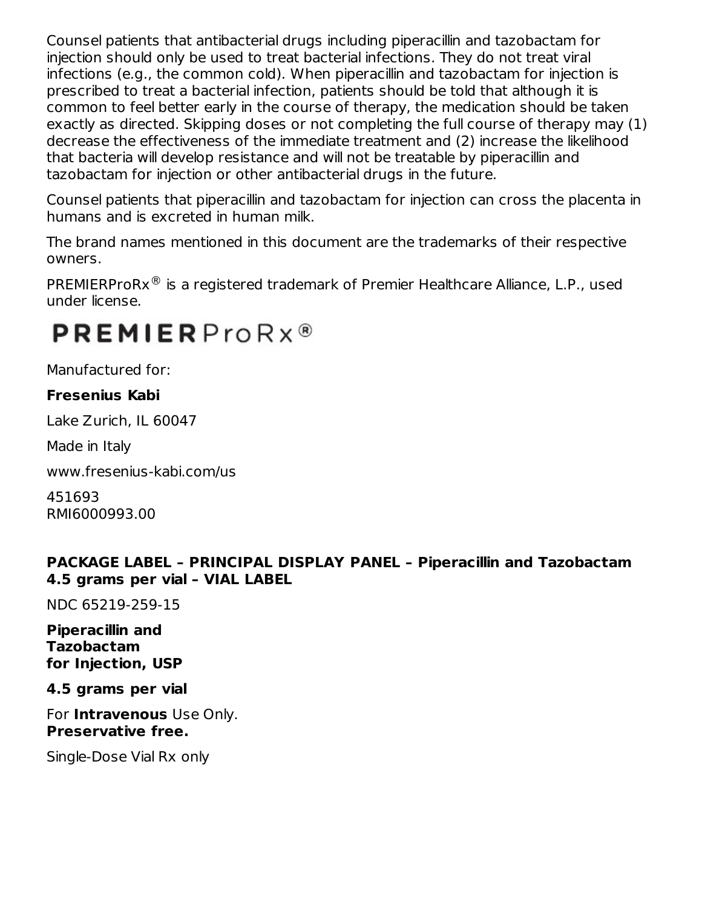Counsel patients that antibacterial drugs including piperacillin and tazobactam for injection should only be used to treat bacterial infections. They do not treat viral infections (e.g., the common cold). When piperacillin and tazobactam for injection is prescribed to treat a bacterial infection, patients should be told that although it is common to feel better early in the course of therapy, the medication should be taken exactly as directed. Skipping doses or not completing the full course of therapy may (1) decrease the effectiveness of the immediate treatment and (2) increase the likelihood that bacteria will develop resistance and will not be treatable by piperacillin and tazobactam for injection or other antibacterial drugs in the future.

Counsel patients that piperacillin and tazobactam for injection can cross the placenta in humans and is excreted in human milk.

The brand names mentioned in this document are the trademarks of their respective owners.

PREMIERProR $x^@$  is a registered trademark of Premier Healthcare Alliance, L.P., used under license.

# $PREMIERProRx<sup>®</sup>$

Manufactured for:

#### **Fresenius Kabi**

Lake Zurich, IL 60047

Made in Italy

www.fresenius-kabi.com/us

451693 RMI6000993.00

#### **PACKAGE LABEL – PRINCIPAL DISPLAY PANEL – Piperacillin and Tazobactam 4.5 grams per vial – VIAL LABEL**

NDC 65219-259-15

#### **Piperacillin and Tazobactam for Injection, USP**

**4.5 grams per vial**

For **Intravenous** Use Only. **Preservative free.**

Single-Dose Vial Rx only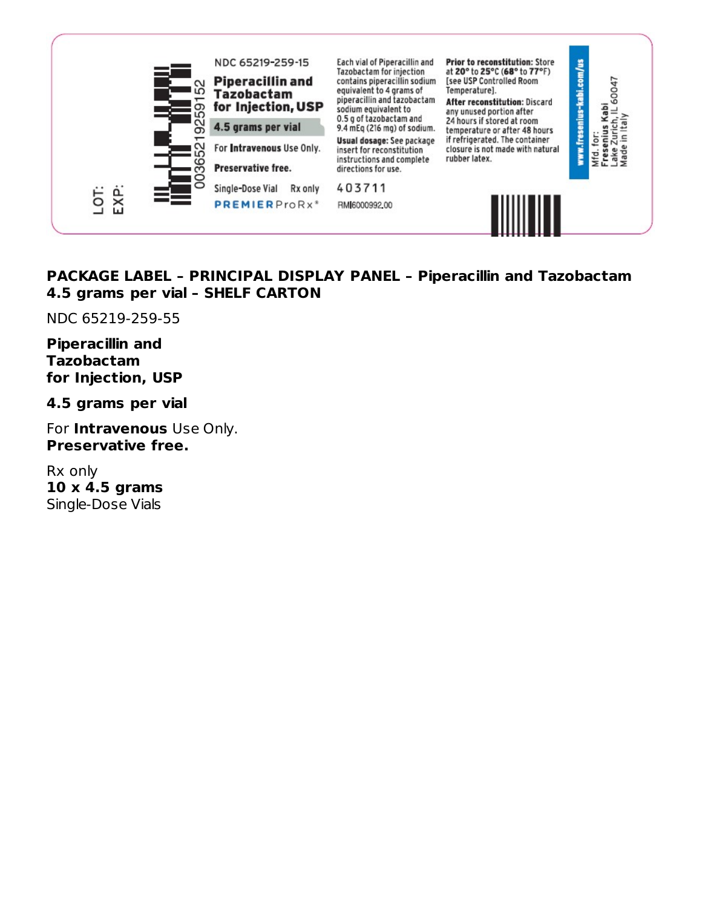

#### **PACKAGE LABEL – PRINCIPAL DISPLAY PANEL – Piperacillin and Tazobactam 4.5 grams per vial – SHELF CARTON**

NDC 65219-259-55

#### **Piperacillin and Tazobactam for Injection, USP**

**4.5 grams per vial**

For **Intravenous** Use Only. **Preservative free.**

Rx only **10 x 4.5 grams** Single-Dose Vials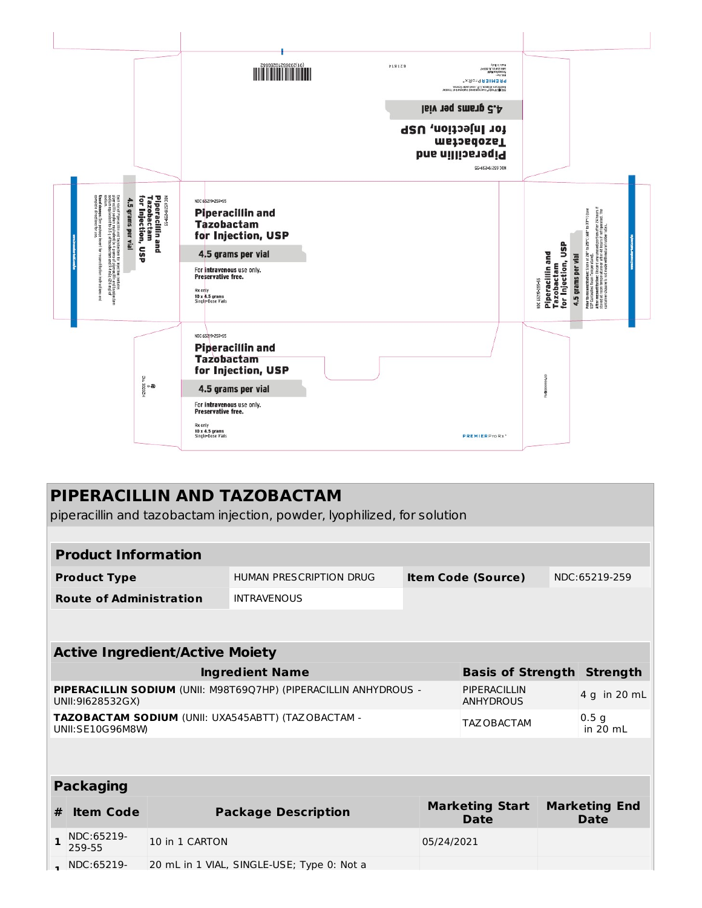

|              | PIPERACILLIN AND TAZOBACTAM                                              |                                        |                                                                  |            |                                   |  |                                |  |
|--------------|--------------------------------------------------------------------------|----------------------------------------|------------------------------------------------------------------|------------|-----------------------------------|--|--------------------------------|--|
|              | piperacillin and tazobactam injection, powder, lyophilized, for solution |                                        |                                                                  |            |                                   |  |                                |  |
|              |                                                                          |                                        |                                                                  |            |                                   |  |                                |  |
|              | <b>Product Information</b>                                               |                                        |                                                                  |            |                                   |  |                                |  |
|              | <b>Product Type</b>                                                      |                                        | HUMAN PRESCRIPTION DRUG                                          |            | <b>Item Code (Source)</b>         |  | NDC:65219-259                  |  |
|              | <b>Route of Administration</b>                                           |                                        | <b>INTRAVENOUS</b>                                               |            |                                   |  |                                |  |
|              |                                                                          |                                        |                                                                  |            |                                   |  |                                |  |
|              |                                                                          | <b>Active Ingredient/Active Moiety</b> |                                                                  |            |                                   |  |                                |  |
|              |                                                                          |                                        | <b>Ingredient Name</b>                                           |            | <b>Basis of Strength Strength</b> |  |                                |  |
|              |                                                                          |                                        | PIPERACILLIN SODIUM (UNII: M98T69Q7HP) (PIPERACILLIN ANHYDROUS - |            | PIPERACILLIN                      |  |                                |  |
|              | UNII:91628532GX)                                                         |                                        |                                                                  |            | <b>ANHYDROUS</b>                  |  | 4 g in 20 mL                   |  |
|              | UNII:SE10G96M8W                                                          |                                        | TAZOBACTAM SODIUM (UNII: UXA545ABTT) (TAZOBACTAM -               |            | TAZ OBACTAM                       |  | 0.5 <sub>q</sub><br>in $20$ mL |  |
|              |                                                                          |                                        |                                                                  |            |                                   |  |                                |  |
|              |                                                                          |                                        |                                                                  |            |                                   |  |                                |  |
|              | <b>Packaging</b>                                                         |                                        |                                                                  |            |                                   |  |                                |  |
| #            | <b>Item Code</b>                                                         |                                        | <b>Package Description</b>                                       |            | <b>Marketing Start</b><br>Date    |  | <b>Marketing End</b><br>Date   |  |
| $\mathbf{1}$ | NDC:65219-<br>259-55                                                     | 10 in 1 CARTON                         |                                                                  | 05/24/2021 |                                   |  |                                |  |
|              | NDC:65219-                                                               |                                        | 20 mL in 1 VIAL, SINGLE-USE; Type 0: Not a                       |            |                                   |  |                                |  |